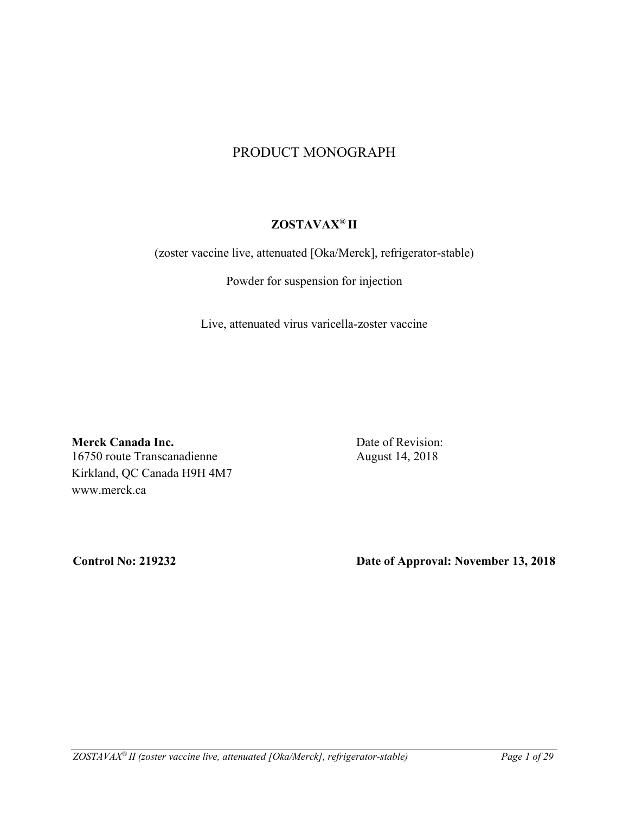# PRODUCT MONOGRAPH

# **ZOSTAVAX® II**

(zoster vaccine live, attenuated [Oka/Merck], refrigerator-stable)

Powder for suspension for injection

Live, attenuated virus varicella-zoster vaccine

**Merck Canada Inc.** 16750 route Transcanadienne Kirkland, QC Canada H9H 4M7 www.merck.ca

Date of Revision: August 14, 2018

**Control No: 219232 Date of Approval: November 13, 2018**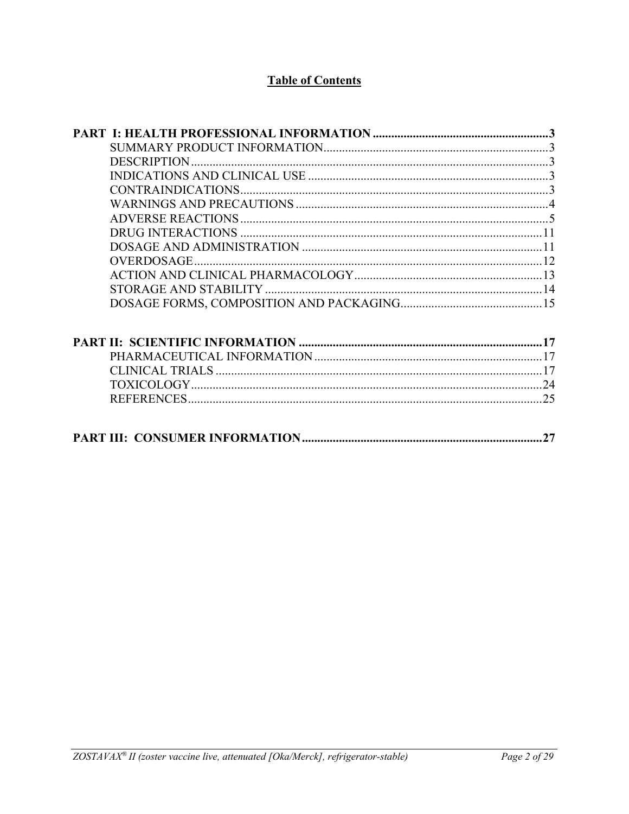# **Table of Contents**

| 27 |
|----|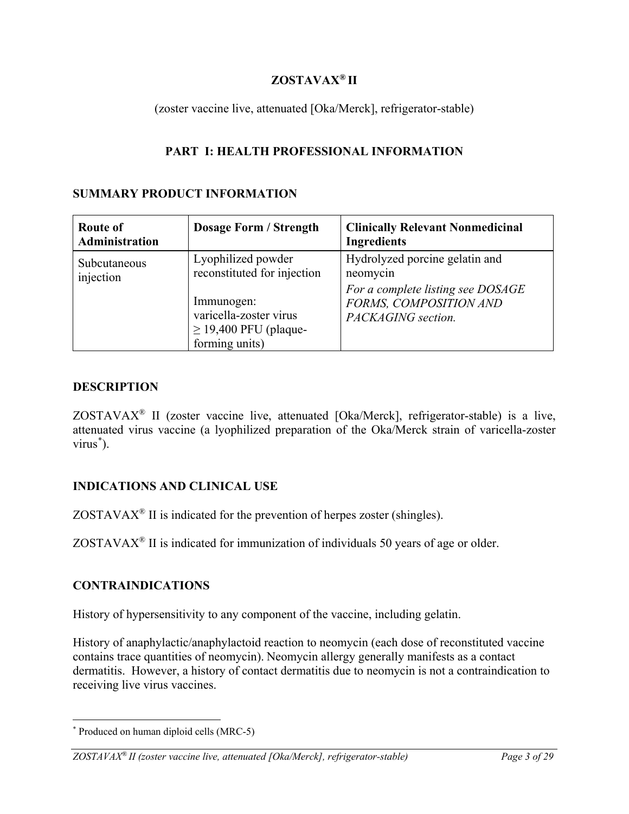# **ZOSTAVAX® II**

(zoster vaccine live, attenuated [Oka/Merck], refrigerator-stable)

# **PART I: HEALTH PROFESSIONAL INFORMATION**

## **SUMMARY PRODUCT INFORMATION**

| <b>Route of</b><br>Administration | <b>Dosage Form / Strength</b>                                                                                                             | <b>Clinically Relevant Nonmedicinal</b><br><b>Ingredients</b>                                                                   |
|-----------------------------------|-------------------------------------------------------------------------------------------------------------------------------------------|---------------------------------------------------------------------------------------------------------------------------------|
| Subcutaneous<br>injection         | Lyophilized powder<br>reconstituted for injection<br>Immunogen:<br>varicella-zoster virus<br>$\geq$ 19,400 PFU (plaque-<br>forming units) | Hydrolyzed porcine gelatin and<br>neomycin<br>For a complete listing see DOSAGE<br>FORMS, COMPOSITION AND<br>PACKAGING section. |

## **DESCRIPTION**

ZOSTAVAX® II (zoster vaccine live, attenuated [Oka/Merck], refrigerator-stable) is a live, attenuated virus vaccine (a lyophilized preparation of the Oka/Merck strain of varicella-zoster virus[\\*](#page-2-0) ).

# **INDICATIONS AND CLINICAL USE**

 $ZOSTAVAX<sup>®</sup>$  II is indicated for the prevention of herpes zoster (shingles).

ZOSTAVAX® II is indicated for immunization of individuals 50 years of age or older.

# **CONTRAINDICATIONS**

History of hypersensitivity to any component of the vaccine, including gelatin.

History of anaphylactic/anaphylactoid reaction to neomycin (each dose of reconstituted vaccine contains trace quantities of neomycin). Neomycin allergy generally manifests as a contact dermatitis. However, a history of contact dermatitis due to neomycin is not a contraindication to receiving live virus vaccines.

<span id="page-2-0"></span> <sup>\*</sup> Produced on human diploid cells (MRC-5)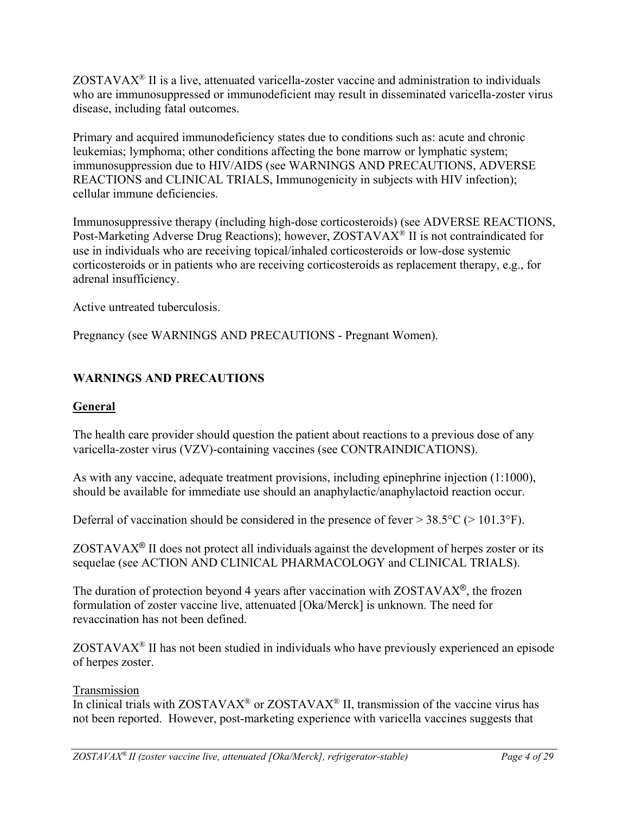$ZOSTAVAX<sup>®</sup>$  II is a live, attenuated varicella-zoster vaccine and administration to individuals who are immunosuppressed or immunodeficient may result in disseminated varicella-zoster virus disease, including fatal outcomes.

Primary and acquired immunodeficiency states due to conditions such as: acute and chronic leukemias; lymphoma; other conditions affecting the bone marrow or lymphatic system; immunosuppression due to HIV/AIDS (see WARNINGS AND PRECAUTIONS, ADVERSE REACTIONS and CLINICAL TRIALS, Immunogenicity in subjects with HIV infection); cellular immune deficiencies.

Immunosuppressive therapy (including high-dose corticosteroids) (see ADVERSE REACTIONS, Post-Marketing Adverse Drug Reactions); however, ZOSTAVAX® II is not contraindicated for use in individuals who are receiving topical/inhaled corticosteroids or low-dose systemic corticosteroids or in patients who are receiving corticosteroids as replacement therapy, e.g., for adrenal insufficiency.

Active untreated tuberculosis.

Pregnancy (see WARNINGS AND PRECAUTIONS - Pregnant Women).

# **WARNINGS AND PRECAUTIONS**

# **General**

The health care provider should question the patient about reactions to a previous dose of any varicella-zoster virus (VZV)-containing vaccines (see CONTRAINDICATIONS).

As with any vaccine, adequate treatment provisions, including epinephrine injection (1:1000), should be available for immediate use should an anaphylactic/anaphylactoid reaction occur.

Deferral of vaccination should be considered in the presence of fever  $> 38.5^{\circ}C$  ( $> 101.3^{\circ}F$ ).

ZOSTAVAX® II does not protect all individuals against the development of herpes zoster or its sequelae (see ACTION AND CLINICAL PHARMACOLOGY and CLINICAL TRIALS).

The duration of protection beyond 4 years after vaccination with  $ZOSTAVAX^{\circledcirc}$ , the frozen formulation of zoster vaccine live, attenuated [Oka/Merck] is unknown. The need for revaccination has not been defined.

ZOSTAVAX® II has not been studied in individuals who have previously experienced an episode of herpes zoster.

## Transmission

In clinical trials with  $ZOSTAVAX^{\circledast}$  or  $ZOSTAVAX^{\circledast}$  II, transmission of the vaccine virus has not been reported. However, post-marketing experience with varicella vaccines suggests that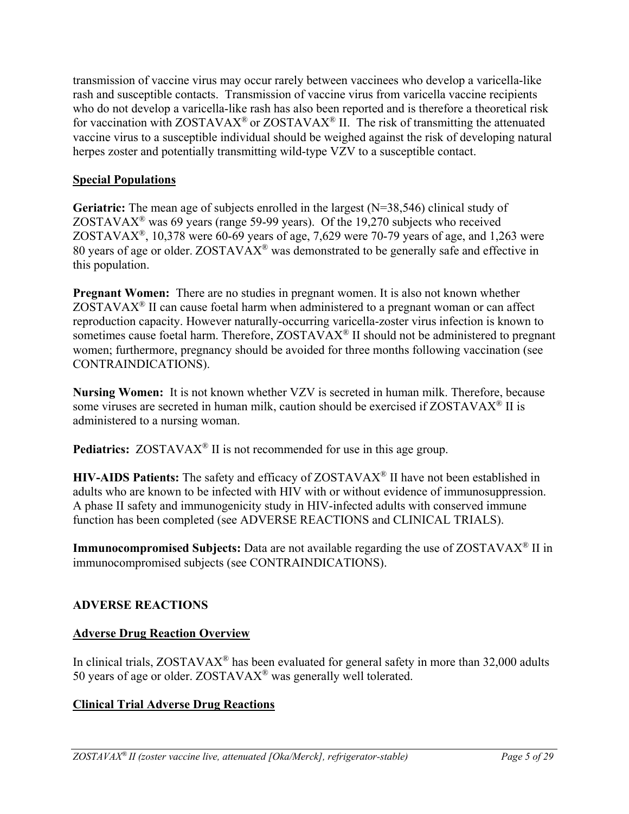transmission of vaccine virus may occur rarely between vaccinees who develop a varicella-like rash and susceptible contacts. Transmission of vaccine virus from varicella vaccine recipients who do not develop a varicella-like rash has also been reported and is therefore a theoretical risk for vaccination with ZOSTAVAX<sup>®</sup> or ZOSTAVAX<sup>®</sup> II. The risk of transmitting the attenuated vaccine virus to a susceptible individual should be weighed against the risk of developing natural herpes zoster and potentially transmitting wild-type VZV to a susceptible contact.

# **Special Populations**

**Geriatric:** The mean age of subjects enrolled in the largest (N=38,546) clinical study of ZOSTAVAX<sup>®</sup> was 69 years (range 59-99 years). Of the 19,270 subjects who received ZOSTAVA $X^{\mathcal{R}}$ , 10,378 were 60-69 years of age, 7,629 were 70-79 years of age, and 1,263 were 80 years of age or older.  $ZOSTAVAX^{\circledast}$  was demonstrated to be generally safe and effective in this population.

**Pregnant Women:** There are no studies in pregnant women. It is also not known whether  $ZOSTAVAX<sup>®</sup>$  II can cause foetal harm when administered to a pregnant woman or can affect reproduction capacity. However naturally-occurring varicella-zoster virus infection is known to sometimes cause foetal harm. Therefore, ZOSTAVAX<sup>®</sup> II should not be administered to pregnant women; furthermore, pregnancy should be avoided for three months following vaccination (see CONTRAINDICATIONS).

**Nursing Women:** It is not known whether VZV is secreted in human milk. Therefore, because some viruses are secreted in human milk, caution should be exercised if ZOSTAVAX<sup>®</sup> II is administered to a nursing woman.

**Pediatrics:** ZOSTAVAX<sup>®</sup> II is not recommended for use in this age group.

**HIV-AIDS Patients:** The safety and efficacy of ZOSTAVAX® II have not been established in adults who are known to be infected with HIV with or without evidence of immunosuppression. A phase II safety and immunogenicity study in HIV-infected adults with conserved immune function has been completed (see ADVERSE REACTIONS and CLINICAL TRIALS).

**Immunocompromised Subjects:** Data are not available regarding the use of ZOSTAVAX<sup>®</sup> II in immunocompromised subjects (see CONTRAINDICATIONS).

# **ADVERSE REACTIONS**

# **Adverse Drug Reaction Overview**

In clinical trials, ZOSTAVAX<sup>®</sup> has been evaluated for general safety in more than 32,000 adults 50 years of age or older. ZOSTAVAX® was generally well tolerated.

# **Clinical Trial Adverse Drug Reactions**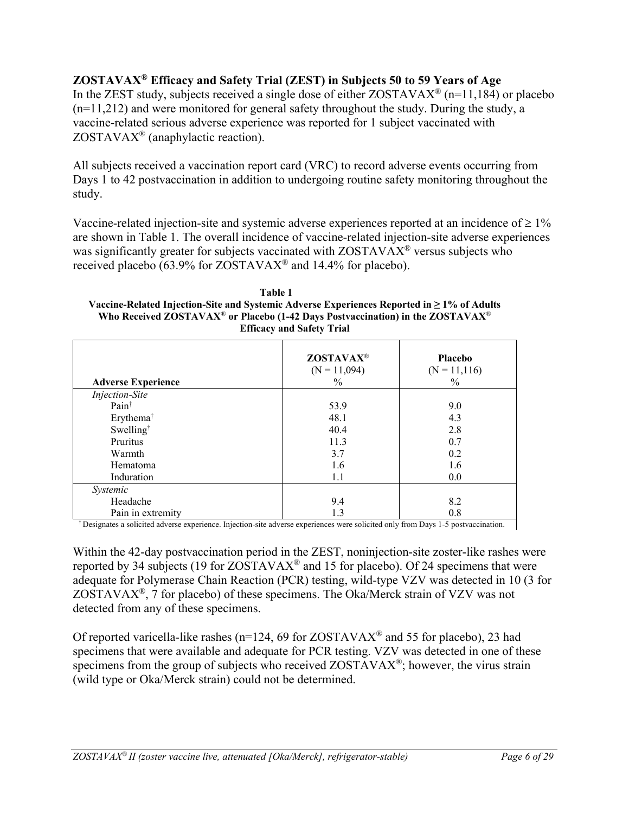# **ZOSTAVAX® Efficacy and Safety Trial (ZEST) in Subjects 50 to 59 Years of Age**

In the ZEST study, subjects received a single dose of either  $ZOSTAVAX^{\circ}$  (n=11,184) or placebo  $(n=11,212)$  and were monitored for general safety throughout the study. During the study, a vaccine-related serious adverse experience was reported for 1 subject vaccinated with ZOSTAVAX® (anaphylactic reaction).

All subjects received a vaccination report card (VRC) to record adverse events occurring from Days 1 to 42 postvaccination in addition to undergoing routine safety monitoring throughout the study.

Vaccine-related injection-site and systemic adverse experiences reported at an incidence of  $\geq 1\%$ are shown in Table 1. The overall incidence of vaccine-related injection-site adverse experiences was significantly greater for subjects vaccinated with ZOSTAVAX<sup>®</sup> versus subjects who received placebo (63.9% for ZOSTAVAX® and 14.4% for placebo).

| Table 1                                                                                                |
|--------------------------------------------------------------------------------------------------------|
| Vaccine-Related Injection-Site and Systemic Adverse Experiences Reported in $\geq 1\%$ of Adults       |
| Who Received ZOSTAVAX <sup>®</sup> or Placebo (1-42 Days Postvaccination) in the ZOSTAVAX <sup>®</sup> |
| <b>Efficacy and Safety Trial</b>                                                                       |

| <b>Adverse Experience</b> | <b>ZOSTAVAX®</b><br>$(N = 11,094)$<br>$\%$ | <b>Placebo</b><br>$(N = 11, 116)$<br>$\frac{0}{0}$ |
|---------------------------|--------------------------------------------|----------------------------------------------------|
| <b>Injection-Site</b>     |                                            |                                                    |
| Pain <sup>†</sup>         | 53.9                                       | 9.0                                                |
| Erythema <sup>†</sup>     | 48.1                                       | 4.3                                                |
| Swelling <sup>†</sup>     | 40.4                                       | 2.8                                                |
| Pruritus                  | 11.3                                       | 0.7                                                |
| Warmth                    | 3.7                                        | 0.2                                                |
| Hematoma                  | 1.6                                        | 1.6                                                |
| Induration                | 1.1                                        | 0.0                                                |
| Systemic                  |                                            |                                                    |
| Headache                  | 9.4                                        | 8.2                                                |
| Pain in extremity         | 1.3                                        | 0.8                                                |

† Designates a solicited adverse experience. Injection-site adverse experiences were solicited only from Days 1-5 postvaccination.

Within the 42-day postvaccination period in the ZEST, noninjection-site zoster-like rashes were reported by 34 subjects (19 for  $ZOSTAVAX^{\circledast}$  and 15 for placebo). Of 24 specimens that were adequate for Polymerase Chain Reaction (PCR) testing, wild-type VZV was detected in 10 (3 for ZOSTAVA $X^{\mathbb{R}}$ , 7 for placebo) of these specimens. The Oka/Merck strain of VZV was not detected from any of these specimens.

Of reported varicella-like rashes ( $n=124$ , 69 for ZOSTAVAX<sup>®</sup> and 55 for placebo), 23 had specimens that were available and adequate for PCR testing. VZV was detected in one of these specimens from the group of subjects who received ZOSTAVAX®; however, the virus strain (wild type or Oka/Merck strain) could not be determined.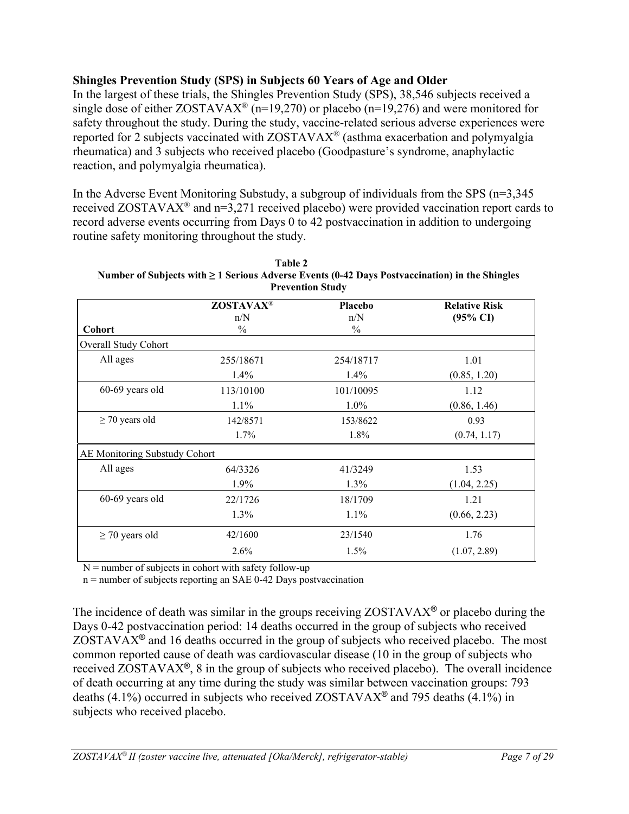# **Shingles Prevention Study (SPS) in Subjects 60 Years of Age and Older**

In the largest of these trials, the Shingles Prevention Study (SPS), 38,546 subjects received a single dose of either  $ZOSTAVAX^{\circledast}$  (n=19,270) or placebo (n=19,276) and were monitored for safety throughout the study. During the study, vaccine-related serious adverse experiences were reported for 2 subjects vaccinated with ZOSTAVAX® (asthma exacerbation and polymyalgia rheumatica) and 3 subjects who received placebo (Goodpasture's syndrome, anaphylactic reaction, and polymyalgia rheumatica).

In the Adverse Event Monitoring Substudy, a subgroup of individuals from the SPS (n=3,345 received ZOSTAVAX® and n=3,271 received placebo) were provided vaccination report cards to record adverse events occurring from Days 0 to 42 postvaccination in addition to undergoing routine safety monitoring throughout the study.

| <b>Prevention Study</b>       |                                          |                                 |                                             |
|-------------------------------|------------------------------------------|---------------------------------|---------------------------------------------|
| <b>Cohort</b>                 | <b>ZOSTAVAX®</b><br>n/N<br>$\frac{0}{0}$ | Placebo<br>n/N<br>$\frac{0}{0}$ | <b>Relative Risk</b><br>$(95\% \text{ CI})$ |
| Overall Study Cohort          |                                          |                                 |                                             |
| All ages                      | 255/18671                                | 254/18717                       | 1.01                                        |
|                               | $1.4\%$                                  | $1.4\%$                         | (0.85, 1.20)                                |
| 60-69 years old               | 113/10100                                | 101/10095                       | 1.12                                        |
|                               | $1.1\%$                                  | $1.0\%$                         | (0.86, 1.46)                                |
| $\geq$ 70 years old           | 142/8571                                 | 153/8622                        | 0.93                                        |
|                               | $1.7\%$                                  | 1.8%                            | (0.74, 1.17)                                |
| AE Monitoring Substudy Cohort |                                          |                                 |                                             |
| All ages                      | 64/3326                                  | 41/3249                         | 1.53                                        |
|                               | 1.9%                                     | $1.3\%$                         | (1.04, 2.25)                                |
| 60-69 years old               | 22/1726                                  | 18/1709                         | 1.21                                        |
|                               | 1.3%                                     | 1.1%                            | (0.66, 2.23)                                |
| $\geq$ 70 years old           | 42/1600                                  | 23/1540                         | 1.76                                        |
|                               | 2.6%                                     | $1.5\%$                         | (1.07, 2.89)                                |

**Table 2 Number of Subjects with ≥ 1 Serious Adverse Events (0-42 Days Postvaccination) in the Shingles** 

 $N =$  number of subjects in cohort with safety follow-up

n = number of subjects reporting an SAE 0-42 Days postvaccination

The incidence of death was similar in the groups receiving  $ZOSTAVAX^{\circledcirc}$  or placebo during the Days 0-42 postvaccination period: 14 deaths occurred in the group of subjects who received  $ZOSTAVAX<sup>®</sup>$  and 16 deaths occurred in the group of subjects who received placebo. The most common reported cause of death was cardiovascular disease (10 in the group of subjects who received ZOSTAVAX®, 8 in the group of subjects who received placebo). The overall incidence of death occurring at any time during the study was similar between vaccination groups: 793 deaths (4.1%) occurred in subjects who received ZOSTAVAX<sup>®</sup> and 795 deaths (4.1%) in subjects who received placebo.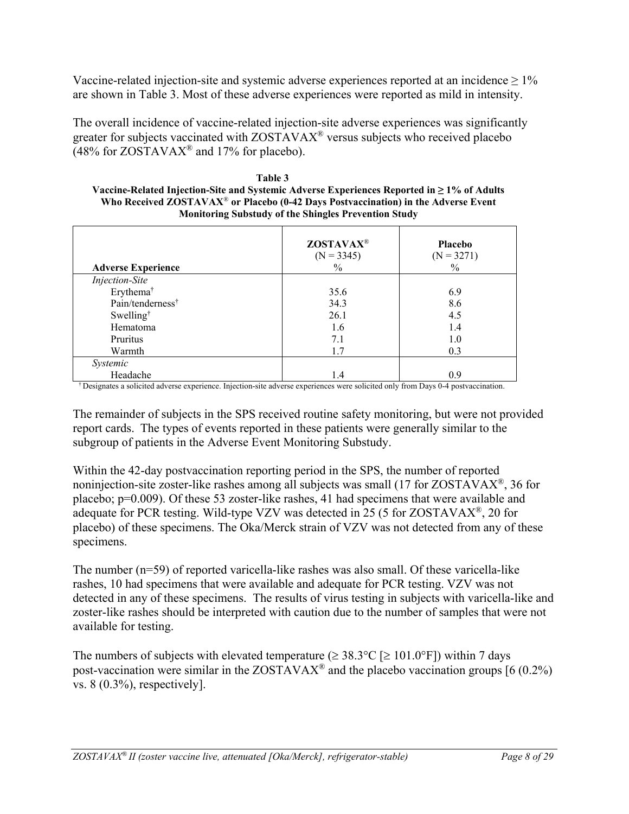Vaccine-related injection-site and systemic adverse experiences reported at an incidence  $\geq 1\%$ are shown in Table 3. Most of these adverse experiences were reported as mild in intensity.

The overall incidence of vaccine-related injection-site adverse experiences was significantly greater for subjects vaccinated with ZOSTAVAX® versus subjects who received placebo  $(48\%$  for ZOSTAVAX<sup>®</sup> and 17% for placebo).

| Table 3                                                                                          |
|--------------------------------------------------------------------------------------------------|
| Vaccine-Related Injection-Site and Systemic Adverse Experiences Reported in $\geq 1\%$ of Adults |
| Who Received ZOSTAVAX <sup>®</sup> or Placebo (0-42 Days Postvaccination) in the Adverse Event   |
| <b>Monitoring Substudy of the Shingles Prevention Study</b>                                      |

| <b>Adverse Experience</b>    | <b>ZOSTAVAX®</b><br>$(N = 3345)$<br>$\%$ | Placebo<br>$(N = 3271)$<br>$\frac{0}{0}$ |
|------------------------------|------------------------------------------|------------------------------------------|
| <b>Injection-Site</b>        |                                          |                                          |
| Erythema <sup>†</sup>        | 35.6                                     | 6.9                                      |
| Pain/tenderness <sup>†</sup> | 34.3                                     | 8.6                                      |
| Swelling <sup>†</sup>        | 26.1                                     | 4.5                                      |
| Hematoma                     | 1.6                                      | 1.4                                      |
| Pruritus                     | 7.1                                      | 1.0                                      |
| Warmth                       | 1.7                                      | 0.3                                      |
| Systemic                     |                                          |                                          |
| Headache                     | 1.4                                      | 0.9                                      |

† Designates a solicited adverse experience. Injection-site adverse experiences were solicited only from Days 0-4 postvaccination.

The remainder of subjects in the SPS received routine safety monitoring, but were not provided report cards. The types of events reported in these patients were generally similar to the subgroup of patients in the Adverse Event Monitoring Substudy.

Within the 42-day postvaccination reporting period in the SPS, the number of reported noninjection-site zoster-like rashes among all subjects was small (17 for ZOSTAVAX®, 36 for placebo; p=0.009). Of these 53 zoster-like rashes, 41 had specimens that were available and adequate for PCR testing. Wild-type VZV was detected in 25 (5 for ZOSTAVAX®, 20 for placebo) of these specimens. The Oka/Merck strain of VZV was not detected from any of these specimens.

The number (n=59) of reported varicella-like rashes was also small. Of these varicella-like rashes, 10 had specimens that were available and adequate for PCR testing. VZV was not detected in any of these specimens. The results of virus testing in subjects with varicella-like and zoster-like rashes should be interpreted with caution due to the number of samples that were not available for testing.

The numbers of subjects with elevated temperature ( $\geq 38.3^{\circ}$ C [ $\geq 101.0^{\circ}$ F]) within 7 days post-vaccination were similar in the ZOSTAVAX<sup>®</sup> and the placebo vaccination groups [6 (0.2%) vs. 8 (0.3%), respectively].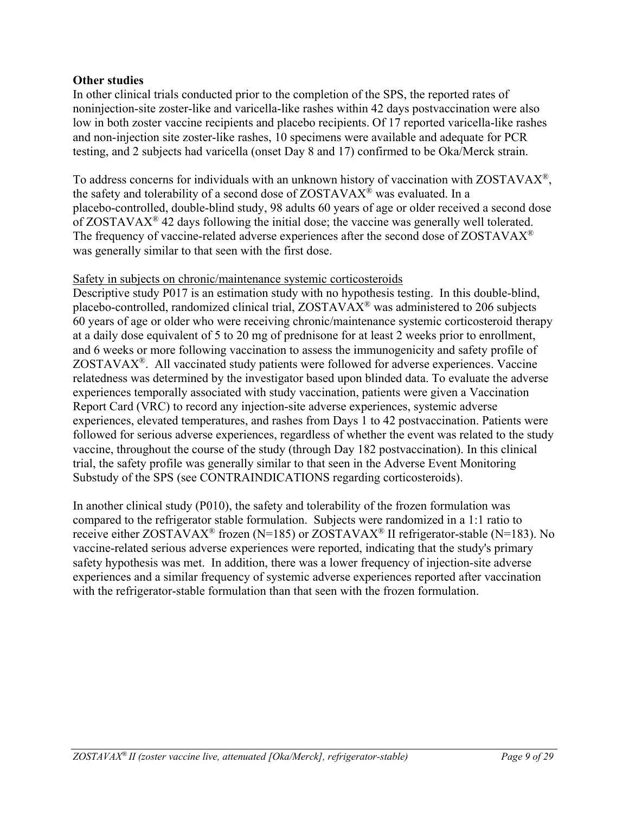## **Other studies**

In other clinical trials conducted prior to the completion of the SPS, the reported rates of noninjection-site zoster-like and varicella-like rashes within 42 days postvaccination were also low in both zoster vaccine recipients and placebo recipients. Of 17 reported varicella-like rashes and non-injection site zoster-like rashes, 10 specimens were available and adequate for PCR testing, and 2 subjects had varicella (onset Day 8 and 17) confirmed to be Oka/Merck strain.

To address concerns for individuals with an unknown history of vaccination with ZOSTAVAX®, the safety and tolerability of a second dose of ZOSTAVAX® was evaluated. In a placebo-controlled, double-blind study, 98 adults 60 years of age or older received a second dose of  $ZOSTAVAX^{\circledast}$  42 days following the initial dose; the vaccine was generally well tolerated. The frequency of vaccine-related adverse experiences after the second dose of ZOSTAVAX<sup>®</sup> was generally similar to that seen with the first dose.

## Safety in subjects on chronic/maintenance systemic corticosteroids

Descriptive study P017 is an estimation study with no hypothesis testing. In this double-blind, placebo-controlled, randomized clinical trial, ZOSTAVAX® was administered to 206 subjects 60 years of age or older who were receiving chronic/maintenance systemic corticosteroid therapy at a daily dose equivalent of 5 to 20 mg of prednisone for at least 2 weeks prior to enrollment, and 6 weeks or more following vaccination to assess the immunogenicity and safety profile of ZOSTAVAX®. All vaccinated study patients were followed for adverse experiences. Vaccine relatedness was determined by the investigator based upon blinded data. To evaluate the adverse experiences temporally associated with study vaccination, patients were given a Vaccination Report Card (VRC) to record any injection-site adverse experiences, systemic adverse experiences, elevated temperatures, and rashes from Days 1 to 42 postvaccination. Patients were followed for serious adverse experiences, regardless of whether the event was related to the study vaccine, throughout the course of the study (through Day 182 postvaccination). In this clinical trial, the safety profile was generally similar to that seen in the Adverse Event Monitoring Substudy of the SPS (see CONTRAINDICATIONS regarding corticosteroids).

In another clinical study (P010), the safety and tolerability of the frozen formulation was compared to the refrigerator stable formulation. Subjects were randomized in a 1:1 ratio to receive either ZOSTAVAX<sup>®</sup> frozen (N=185) or ZOSTAVAX<sup>®</sup> II refrigerator-stable (N=183). No vaccine-related serious adverse experiences were reported, indicating that the study's primary safety hypothesis was met. In addition, there was a lower frequency of injection-site adverse experiences and a similar frequency of systemic adverse experiences reported after vaccination with the refrigerator-stable formulation than that seen with the frozen formulation.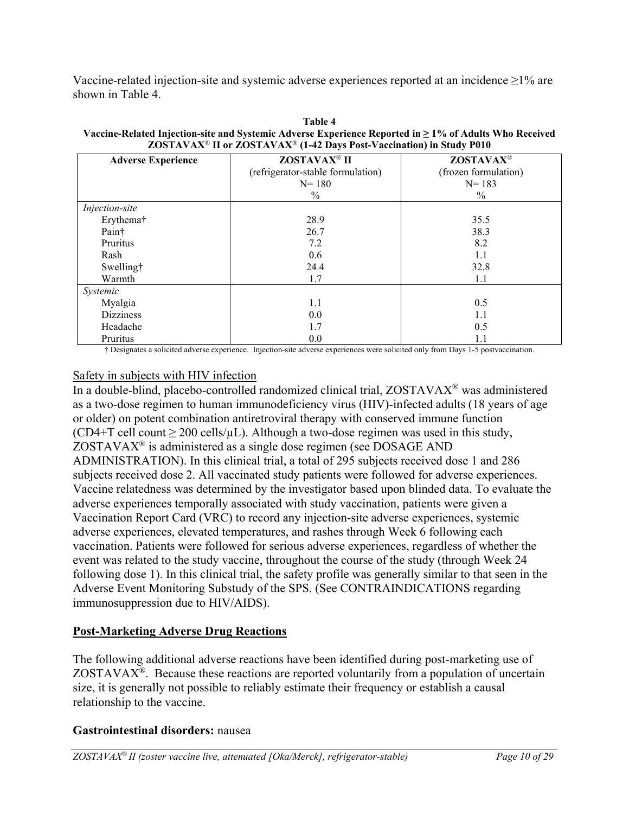Vaccine-related injection-site and systemic adverse experiences reported at an incidence  $\geq$ 1% are shown in Table 4.

| <b>Adverse Experience</b> | ZOSTAVAX <sup>®</sup> II          | <b>ZOSTAVAX®</b>     |
|---------------------------|-----------------------------------|----------------------|
|                           | (refrigerator-stable formulation) | (frozen formulation) |
|                           |                                   |                      |
|                           | $N = 180$                         | $N = 183$            |
|                           | $\%$                              | $\%$                 |
| Injection-site            |                                   |                      |
| Erythema†                 | 28.9                              | 35.5                 |
| Pain†                     | 26.7                              | 38.3                 |
| Pruritus                  | 7.2                               | 8.2                  |
| Rash                      | 0.6                               | 1.1                  |
| Swelling†                 | 24.4                              | 32.8                 |
| Warmth                    | 1.7                               | 1.1                  |
| Systemic                  |                                   |                      |
| Myalgia                   | 1.1                               | 0.5                  |
| <b>Dizziness</b>          | 0.0                               | 1.1                  |
| Headache                  | 1.7                               | 0.5                  |
| Pruritus                  | 0.0                               | 1.1                  |

**Table 4 Vaccine-Related Injection-site and Systemic Adverse Experience Reported in ≥ 1% of Adults Who Received ZOSTAVAX**® **II or ZOSTAVAX**® **(1-42 Days Post-Vaccination) in Study P010**

† Designates a solicited adverse experience. Injection-site adverse experiences were solicited only from Days 1-5 postvaccination.

# Safety in subjects with HIV infection

In a double-blind, placebo-controlled randomized clinical trial, ZOSTAVAX® was administered as a two-dose regimen to human immunodeficiency virus (HIV)-infected adults (18 years of age or older) on potent combination antiretroviral therapy with conserved immune function (CD4+T cell count  $\geq 200$  cells/ $\mu$ L). Although a two-dose regimen was used in this study, ZOSTAVAX® is administered as a single dose regimen (see DOSAGE AND ADMINISTRATION). In this clinical trial, a total of 295 subjects received dose 1 and 286 subjects received dose 2. All vaccinated study patients were followed for adverse experiences. Vaccine relatedness was determined by the investigator based upon blinded data. To evaluate the adverse experiences temporally associated with study vaccination, patients were given a Vaccination Report Card (VRC) to record any injection-site adverse experiences, systemic adverse experiences, elevated temperatures, and rashes through Week 6 following each vaccination. Patients were followed for serious adverse experiences, regardless of whether the event was related to the study vaccine, throughout the course of the study (through Week 24 following dose 1). In this clinical trial, the safety profile was generally similar to that seen in the Adverse Event Monitoring Substudy of the SPS. (See CONTRAINDICATIONS regarding immunosuppression due to HIV/AIDS).

# **Post-Marketing Adverse Drug Reactions**

The following additional adverse reactions have been identified during post-marketing use of  $ZOSTAVAX<sup>®</sup>$ . Because these reactions are reported voluntarily from a population of uncertain size, it is generally not possible to reliably estimate their frequency or establish a causal relationship to the vaccine.

## **Gastrointestinal disorders:** nausea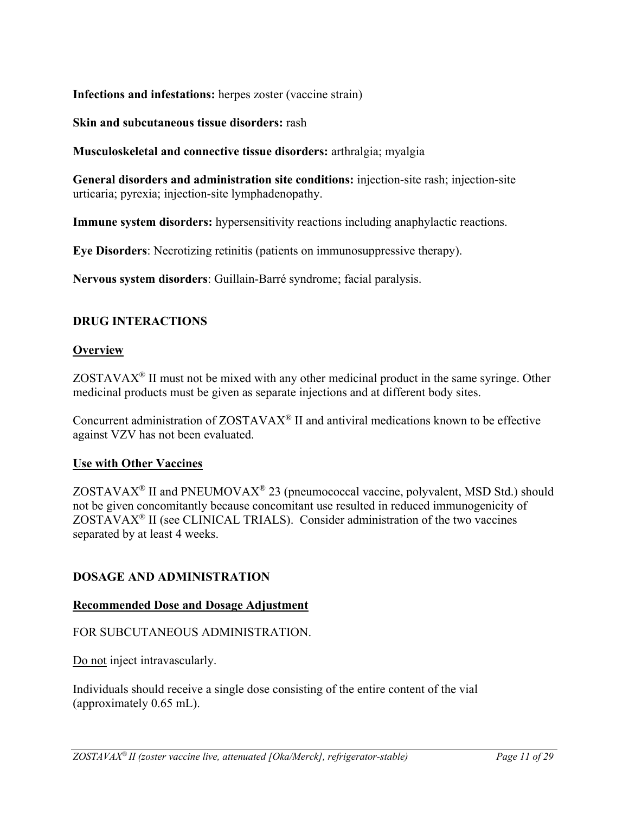**Infections and infestations:** herpes zoster (vaccine strain)

**Skin and subcutaneous tissue disorders:** rash

**Musculoskeletal and connective tissue disorders:** arthralgia; myalgia

**General disorders and administration site conditions:** injection-site rash; injection-site urticaria; pyrexia; injection-site lymphadenopathy.

**Immune system disorders:** hypersensitivity reactions including anaphylactic reactions.

**Eye Disorders**: Necrotizing retinitis (patients on immunosuppressive therapy).

**Nervous system disorders**: Guillain-Barré syndrome; facial paralysis.

## **DRUG INTERACTIONS**

## **Overview**

 $ZOSTAVAX<sup>®</sup>$  II must not be mixed with any other medicinal product in the same syringe. Other medicinal products must be given as separate injections and at different body sites.

Concurrent administration of ZOSTAVAX® II and antiviral medications known to be effective against VZV has not been evaluated.

## **Use with Other Vaccines**

ZOSTAVAX<sup>®</sup> II and PNEUMOVAX<sup>®</sup> 23 (pneumococcal vaccine, polyvalent, MSD Std.) should not be given concomitantly because concomitant use resulted in reduced immunogenicity of ZOSTAVAX® II (see CLINICAL TRIALS). Consider administration of the two vaccines separated by at least 4 weeks.

## **DOSAGE AND ADMINISTRATION**

## **Recommended Dose and Dosage Adjustment**

## FOR SUBCUTANEOUS ADMINISTRATION.

Do not inject intravascularly.

Individuals should receive a single dose consisting of the entire content of the vial (approximately 0.65 mL).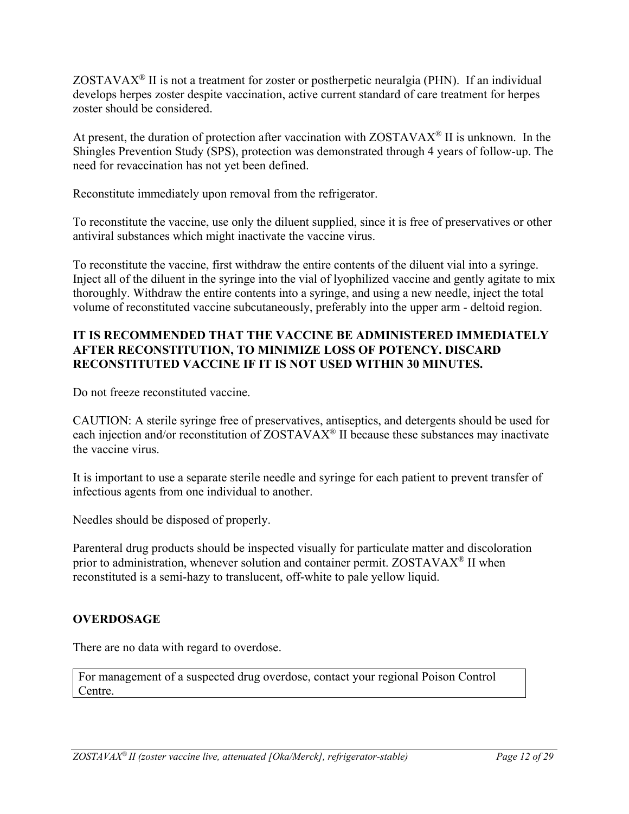ZOSTAVA $X^{\otimes}$  II is not a treatment for zoster or postherpetic neuralgia (PHN). If an individual develops herpes zoster despite vaccination, active current standard of care treatment for herpes zoster should be considered.

At present, the duration of protection after vaccination with  $ZOSTAVAX^{\circ}$  II is unknown. In the Shingles Prevention Study (SPS), protection was demonstrated through 4 years of follow-up. The need for revaccination has not yet been defined.

Reconstitute immediately upon removal from the refrigerator.

To reconstitute the vaccine, use only the diluent supplied, since it is free of preservatives or other antiviral substances which might inactivate the vaccine virus.

To reconstitute the vaccine, first withdraw the entire contents of the diluent vial into a syringe. Inject all of the diluent in the syringe into the vial of lyophilized vaccine and gently agitate to mix thoroughly. Withdraw the entire contents into a syringe, and using a new needle, inject the total volume of reconstituted vaccine subcutaneously, preferably into the upper arm - deltoid region.

## **IT IS RECOMMENDED THAT THE VACCINE BE ADMINISTERED IMMEDIATELY AFTER RECONSTITUTION, TO MINIMIZE LOSS OF POTENCY. DISCARD RECONSTITUTED VACCINE IF IT IS NOT USED WITHIN 30 MINUTES.**

Do not freeze reconstituted vaccine.

CAUTION: A sterile syringe free of preservatives, antiseptics, and detergents should be used for each injection and/or reconstitution of ZOSTAVAX® II because these substances may inactivate the vaccine virus.

It is important to use a separate sterile needle and syringe for each patient to prevent transfer of infectious agents from one individual to another.

Needles should be disposed of properly.

Parenteral drug products should be inspected visually for particulate matter and discoloration prior to administration, whenever solution and container permit. ZOSTAVAX® II when reconstituted is a semi-hazy to translucent, off-white to pale yellow liquid.

# **OVERDOSAGE**

There are no data with regard to overdose.

For management of a suspected drug overdose, contact your regional Poison Control Centre.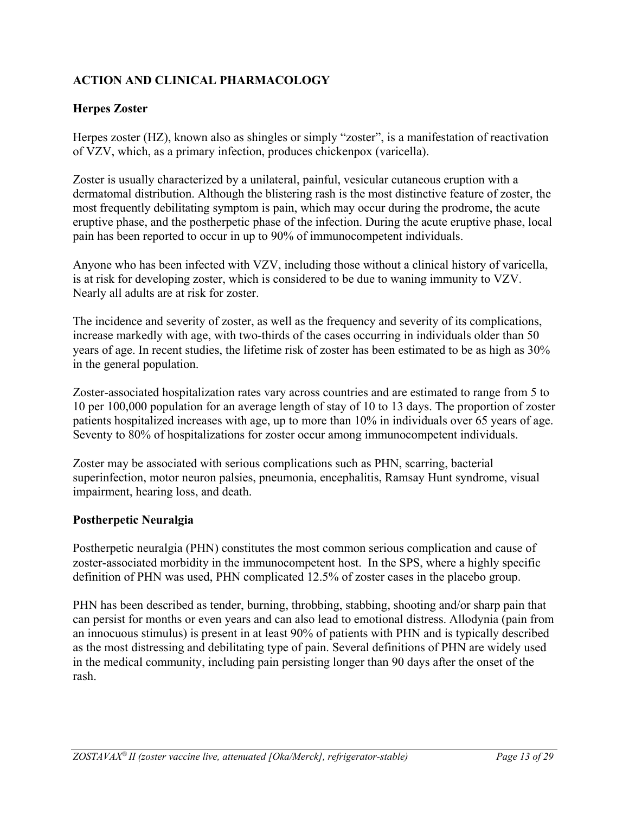# **ACTION AND CLINICAL PHARMACOLOGY**

# **Herpes Zoster**

Herpes zoster (HZ), known also as shingles or simply "zoster", is a manifestation of reactivation of VZV, which, as a primary infection, produces chickenpox (varicella).

Zoster is usually characterized by a unilateral, painful, vesicular cutaneous eruption with a dermatomal distribution. Although the blistering rash is the most distinctive feature of zoster, the most frequently debilitating symptom is pain, which may occur during the prodrome, the acute eruptive phase, and the postherpetic phase of the infection. During the acute eruptive phase, local pain has been reported to occur in up to 90% of immunocompetent individuals.

Anyone who has been infected with VZV, including those without a clinical history of varicella, is at risk for developing zoster, which is considered to be due to waning immunity to VZV. Nearly all adults are at risk for zoster.

The incidence and severity of zoster, as well as the frequency and severity of its complications, increase markedly with age, with two-thirds of the cases occurring in individuals older than 50 years of age. In recent studies, the lifetime risk of zoster has been estimated to be as high as 30% in the general population.

Zoster-associated hospitalization rates vary across countries and are estimated to range from 5 to 10 per 100,000 population for an average length of stay of 10 to 13 days. The proportion of zoster patients hospitalized increases with age, up to more than 10% in individuals over 65 years of age. Seventy to 80% of hospitalizations for zoster occur among immunocompetent individuals.

Zoster may be associated with serious complications such as PHN, scarring, bacterial superinfection, motor neuron palsies, pneumonia, encephalitis, Ramsay Hunt syndrome, visual impairment, hearing loss, and death.

## **Postherpetic Neuralgia**

Postherpetic neuralgia (PHN) constitutes the most common serious complication and cause of zoster-associated morbidity in the immunocompetent host. In the SPS, where a highly specific definition of PHN was used, PHN complicated 12.5% of zoster cases in the placebo group.

PHN has been described as tender, burning, throbbing, stabbing, shooting and/or sharp pain that can persist for months or even years and can also lead to emotional distress. Allodynia (pain from an innocuous stimulus) is present in at least 90% of patients with PHN and is typically described as the most distressing and debilitating type of pain. Several definitions of PHN are widely used in the medical community, including pain persisting longer than 90 days after the onset of the rash.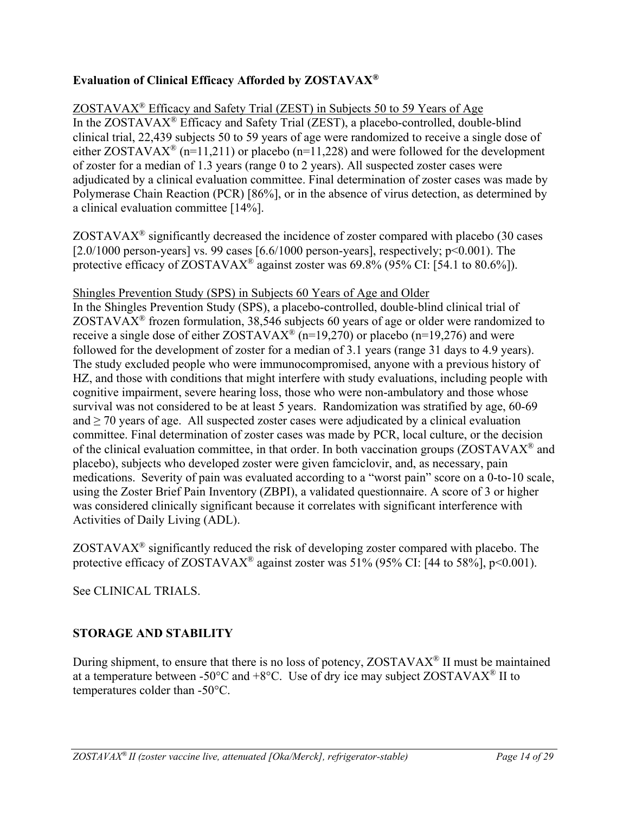# **Evaluation of Clinical Efficacy Afforded by ZOSTAVAX®**

# $ZOSTAVAX<sup>®</sup>$  Efficacy and Safety Trial (ZEST) in Subjects 50 to 59 Years of Age

In the ZOSTAVAX® Efficacy and Safety Trial (ZEST), a placebo-controlled, double-blind clinical trial, 22,439 subjects 50 to 59 years of age were randomized to receive a single dose of either ZOSTAVAX<sup>®</sup> (n=11,211) or placebo (n=11,228) and were followed for the development of zoster for a median of 1.3 years (range 0 to 2 years). All suspected zoster cases were adjudicated by a clinical evaluation committee. Final determination of zoster cases was made by Polymerase Chain Reaction (PCR) [86%], or in the absence of virus detection, as determined by a clinical evaluation committee [14%].

 $ZOSTAVAX<sup>®</sup>$  significantly decreased the incidence of zoster compared with placebo (30 cases [ $2.0/1000$  person-years] vs. 99 cases [ $6.6/1000$  person-years], respectively;  $p<0.001$ ). The protective efficacy of ZOSTAVAX<sup>®</sup> against zoster was 69.8% (95% CI: [54.1 to 80.6%]).

## Shingles Prevention Study (SPS) in Subjects 60 Years of Age and Older

In the Shingles Prevention Study (SPS), a placebo-controlled, double-blind clinical trial of ZOSTAVAX<sup>®</sup> frozen formulation, 38,546 subjects 60 years of age or older were randomized to receive a single dose of either  $ZOSTAVAX^{\circledast}$  (n=19,270) or placebo (n=19,276) and were followed for the development of zoster for a median of 3.1 years (range 31 days to 4.9 years). The study excluded people who were immunocompromised, anyone with a previous history of HZ, and those with conditions that might interfere with study evaluations, including people with cognitive impairment, severe hearing loss, those who were non-ambulatory and those whose survival was not considered to be at least 5 years. Randomization was stratified by age, 60-69 and  $\geq$  70 years of age. All suspected zoster cases were adjudicated by a clinical evaluation committee. Final determination of zoster cases was made by PCR, local culture, or the decision of the clinical evaluation committee, in that order. In both vaccination groups (ZOSTAVAX<sup>®</sup> and placebo), subjects who developed zoster were given famciclovir, and, as necessary, pain medications. Severity of pain was evaluated according to a "worst pain" score on a 0-to-10 scale, using the Zoster Brief Pain Inventory (ZBPI), a validated questionnaire. A score of 3 or higher was considered clinically significant because it correlates with significant interference with Activities of Daily Living (ADL).

 $ZOSTAVAX<sup>®</sup>$  significantly reduced the risk of developing zoster compared with placebo. The protective efficacy of ZOSTAVAX<sup>®</sup> against zoster was  $51\%$  (95% CI: [44 to 58%], p<0.001).

See CLINICAL TRIALS.

# **STORAGE AND STABILITY**

During shipment, to ensure that there is no loss of potency, ZOSTAVAX<sup>®</sup> II must be maintained at a temperature between -50 $\degree$ C and +8 $\degree$ C. Use of dry ice may subject ZOSTAVAX $\degree$  II to temperatures colder than -50°C.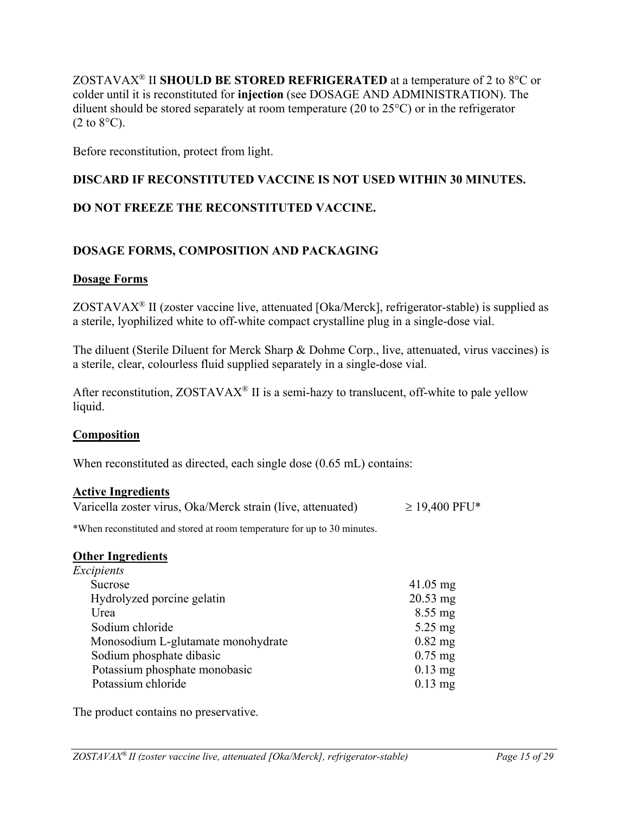ZOSTAVAX® II **SHOULD BE STORED REFRIGERATED** at a temperature of 2 to 8°C or colder until it is reconstituted for **injection** (see DOSAGE AND ADMINISTRATION). The diluent should be stored separately at room temperature (20 to 25°C) or in the refrigerator  $(2 \text{ to } 8^{\circ}\text{C}).$ 

Before reconstitution, protect from light.

# **DISCARD IF RECONSTITUTED VACCINE IS NOT USED WITHIN 30 MINUTES.**

# **DO NOT FREEZE THE RECONSTITUTED VACCINE.**

# **DOSAGE FORMS, COMPOSITION AND PACKAGING**

## **Dosage Forms**

ZOSTAVAX® II (zoster vaccine live, attenuated [Oka/Merck], refrigerator-stable) is supplied as a sterile, lyophilized white to off-white compact crystalline plug in a single-dose vial.

The diluent (Sterile Diluent for Merck Sharp & Dohme Corp., live, attenuated, virus vaccines) is a sterile, clear, colourless fluid supplied separately in a single-dose vial.

After reconstitution,  $ZOSTAVAX^{\circledast}$  II is a semi-hazy to translucent, off-white to pale yellow liquid.

### **Composition**

When reconstituted as directed, each single dose (0.65 mL) contains:

### **Active Ingredients**

| Varicella zoster virus, Oka/Merck strain (live, attenuated) | $\geq$ 19,400 PFU* |
|-------------------------------------------------------------|--------------------|
|-------------------------------------------------------------|--------------------|

\*When reconstituted and stored at room temperature for up to 30 minutes.

### **Other Ingredients**

| Excipients                         |                    |
|------------------------------------|--------------------|
| Sucrose                            | $41.05 \text{ mg}$ |
| Hydrolyzed porcine gelatin         | $20.53$ mg         |
| Urea                               | $8.55 \text{ mg}$  |
| Sodium chloride                    | $5.25 \text{ mg}$  |
| Monosodium L-glutamate monohydrate | $0.82$ mg          |
| Sodium phosphate dibasic           | $0.75$ mg          |
| Potassium phosphate monobasic      | $0.13$ mg          |
| Potassium chloride                 | $0.13$ mg          |

The product contains no preservative.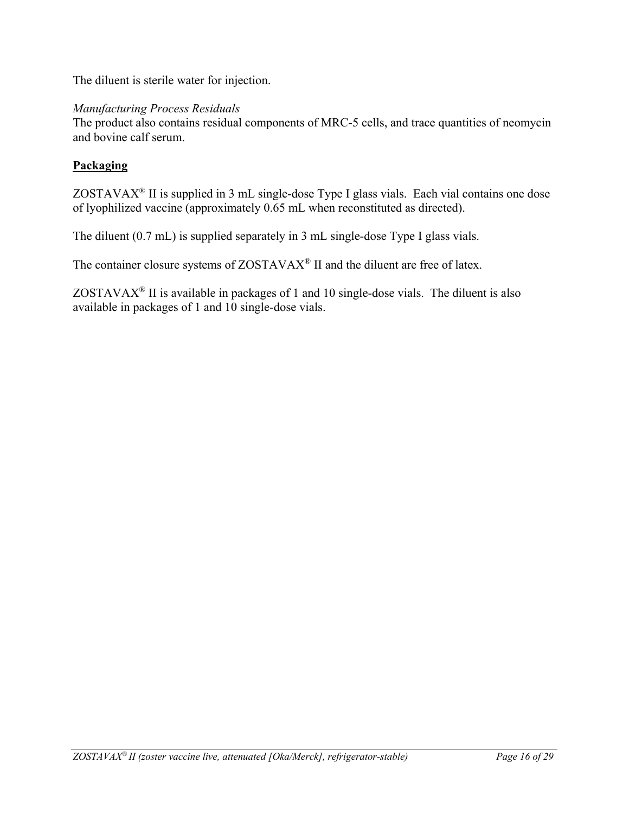The diluent is sterile water for injection.

# *Manufacturing Process Residuals*

The product also contains residual components of MRC-5 cells, and trace quantities of neomycin and bovine calf serum.

# **Packaging**

ZOSTAVAX® II is supplied in 3 mL single-dose Type I glass vials. Each vial contains one dose of lyophilized vaccine (approximately 0.65 mL when reconstituted as directed).

The diluent (0.7 mL) is supplied separately in 3 mL single-dose Type I glass vials.

The container closure systems of ZOSTAVAX<sup>®</sup> II and the diluent are free of latex.

ZOSTAVAX® II is available in packages of 1 and 10 single-dose vials. The diluent is also available in packages of 1 and 10 single-dose vials.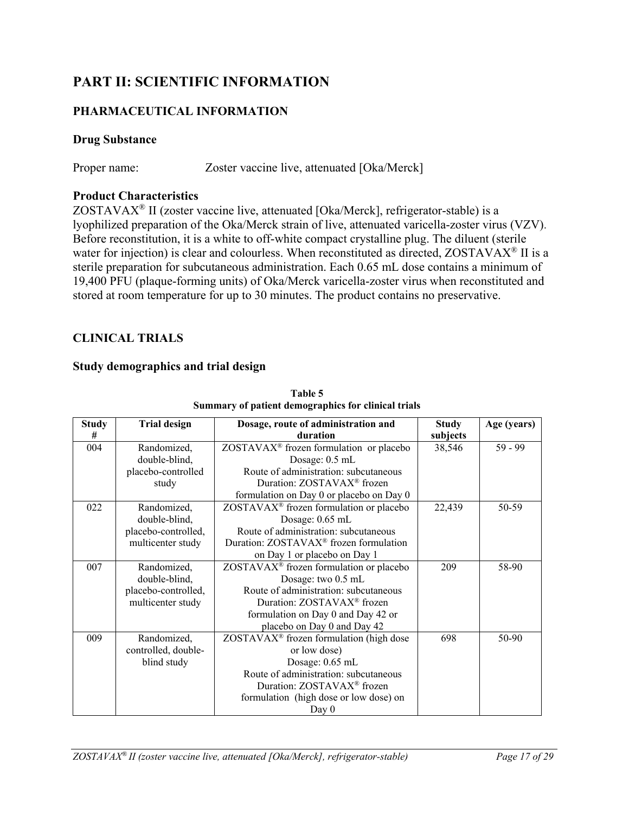# **PART II: SCIENTIFIC INFORMATION**

# **PHARMACEUTICAL INFORMATION**

# **Drug Substance**

Proper name: Zoster vaccine live, attenuated [Oka/Merck]

# **Product Characteristics**

ZOSTAVA $X^{\otimes}$  II (zoster vaccine live, attenuated [Oka/Merck], refrigerator-stable) is a lyophilized preparation of the Oka/Merck strain of live, attenuated varicella-zoster virus (VZV). Before reconstitution, it is a white to off-white compact crystalline plug. The diluent (sterile water for injection) is clear and colourless. When reconstituted as directed, ZOSTAVAX<sup>®</sup> II is a sterile preparation for subcutaneous administration. Each 0.65 mL dose contains a minimum of 19,400 PFU (plaque-forming units) of Oka/Merck varicella-zoster virus when reconstituted and stored at room temperature for up to 30 minutes. The product contains no preservative.

# **CLINICAL TRIALS**

## **Study demographics and trial design**

| <b>Study</b> | <b>Trial design</b> | Dosage, route of administration and                 | <b>Study</b> | Age (years) |
|--------------|---------------------|-----------------------------------------------------|--------------|-------------|
| #            |                     | duration                                            | subjects     |             |
| 004          | Randomized,         | ZOSTAVAX <sup>®</sup> frozen formulation or placebo | 38,546       | $59 - 99$   |
|              | double-blind,       | Dosage: 0.5 mL                                      |              |             |
|              | placebo-controlled  | Route of administration: subcutaneous               |              |             |
|              | study               | Duration: ZOSTAVAX <sup>®</sup> frozen              |              |             |
|              |                     | formulation on Day 0 or placebo on Day 0            |              |             |
| 022          | Randomized,         | ZOSTAVAX <sup>®</sup> frozen formulation or placebo | 22,439       | 50-59       |
|              | double-blind,       | Dosage: 0.65 mL                                     |              |             |
|              | placebo-controlled, | Route of administration: subcutaneous               |              |             |
|              | multicenter study   | Duration: ZOSTAVAX <sup>®</sup> frozen formulation  |              |             |
|              |                     | on Day 1 or placebo on Day 1                        |              |             |
| 007          | Randomized,         | ZOSTAVAX <sup>®</sup> frozen formulation or placebo | 209          | 58-90       |
|              | double-blind,       | Dosage: two 0.5 mL                                  |              |             |
|              | placebo-controlled, | Route of administration: subcutaneous               |              |             |
|              | multicenter study   | Duration: ZOSTAVAX <sup>®</sup> frozen              |              |             |
|              |                     | formulation on Day 0 and Day 42 or                  |              |             |
|              |                     | placebo on Day 0 and Day 42                         |              |             |
| 009          | Randomized,         | $ZOSTAVAX^{\otimes}$ frozen formulation (high dose  | 698          | 50-90       |
|              | controlled, double- | or low dose)                                        |              |             |
|              | blind study         | Dosage: 0.65 mL                                     |              |             |
|              |                     | Route of administration: subcutaneous               |              |             |
|              |                     | Duration: ZOSTAVAX <sup>®</sup> frozen              |              |             |
|              |                     | formulation (high dose or low dose) on              |              |             |
|              |                     | Day $0$                                             |              |             |

**Table 5 Summary of patient demographics for clinical trials**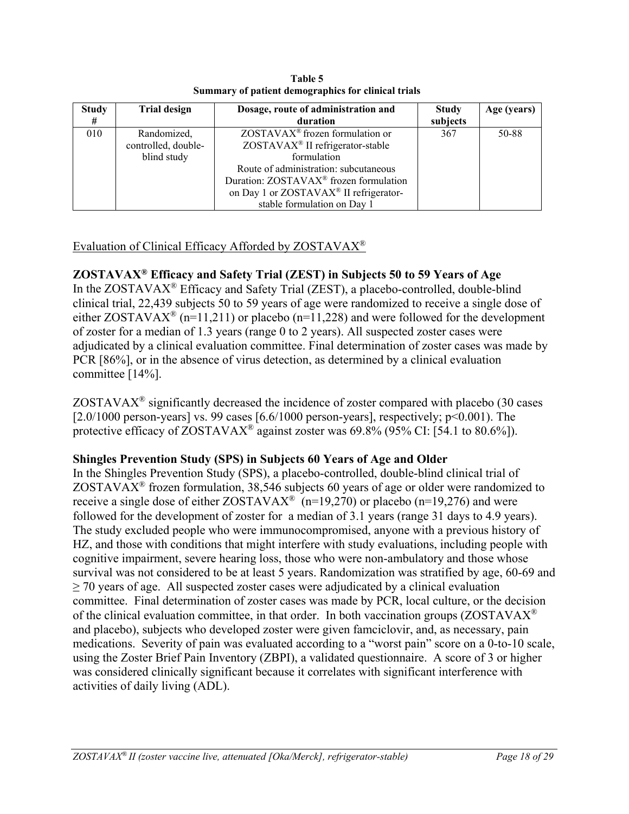| <b>Study</b><br># | <b>Trial design</b> | Dosage, route of administration and<br>duration    | <b>Study</b><br>subjects | Age (years) |
|-------------------|---------------------|----------------------------------------------------|--------------------------|-------------|
| 010               | Randomized,         | ZOSTAVAX <sup>®</sup> frozen formulation or        | 367                      | 50-88       |
|                   | controlled, double- | ZOSTAVAX <sup>®</sup> II refrigerator-stable       |                          |             |
|                   | blind study         | formulation                                        |                          |             |
|                   |                     | Route of administration: subcutaneous              |                          |             |
|                   |                     | Duration: ZOSTAVAX <sup>®</sup> frozen formulation |                          |             |
|                   |                     | on Day 1 or ZOSTAVAX <sup>®</sup> II refrigerator- |                          |             |
|                   |                     | stable formulation on Day 1                        |                          |             |

**Table 5 Summary of patient demographics for clinical trials**

# Evaluation of Clinical Efficacy Afforded by ZOSTAVAX®

# **ZOSTAVAX® Efficacy and Safety Trial (ZEST) in Subjects 50 to 59 Years of Age**

In the ZOSTAVAX® Efficacy and Safety Trial (ZEST), a placebo-controlled, double-blind clinical trial, 22,439 subjects 50 to 59 years of age were randomized to receive a single dose of either ZOSTAVAX<sup>®</sup> (n=11,211) or placebo (n=11,228) and were followed for the development of zoster for a median of 1.3 years (range 0 to 2 years). All suspected zoster cases were adjudicated by a clinical evaluation committee. Final determination of zoster cases was made by PCR [86%], or in the absence of virus detection, as determined by a clinical evaluation committee [14%].

 $ZOSTAVAX<sup>®</sup>$  significantly decreased the incidence of zoster compared with placebo (30 cases [ $2.0/1000$  person-years] vs. 99 cases [ $6.6/1000$  person-years], respectively;  $p<0.001$ ). The protective efficacy of ZOSTAVAX<sup>®</sup> against zoster was 69.8% (95% CI: [54.1 to 80.6%]).

# **Shingles Prevention Study (SPS) in Subjects 60 Years of Age and Older**

In the Shingles Prevention Study (SPS), a placebo-controlled, double-blind clinical trial of ZOSTAVAX<sup>®</sup> frozen formulation, 38,546 subjects 60 years of age or older were randomized to receive a single dose of either  $ZOSTAVAX^{\circ}(n=19,270)$  or placebo (n=19,276) and were followed for the development of zoster for a median of 3.1 years (range 31 days to 4.9 years). The study excluded people who were immunocompromised, anyone with a previous history of HZ, and those with conditions that might interfere with study evaluations, including people with cognitive impairment, severe hearing loss, those who were non-ambulatory and those whose survival was not considered to be at least 5 years. Randomization was stratified by age, 60-69 and  $\geq$  70 years of age. All suspected zoster cases were adjudicated by a clinical evaluation committee. Final determination of zoster cases was made by PCR, local culture, or the decision of the clinical evaluation committee, in that order. In both vaccination groups ( $ZOSTAVAX^{\otimes}$ and placebo), subjects who developed zoster were given famciclovir, and, as necessary, pain medications. Severity of pain was evaluated according to a "worst pain" score on a 0-to-10 scale, using the Zoster Brief Pain Inventory (ZBPI), a validated questionnaire. A score of 3 or higher was considered clinically significant because it correlates with significant interference with activities of daily living (ADL).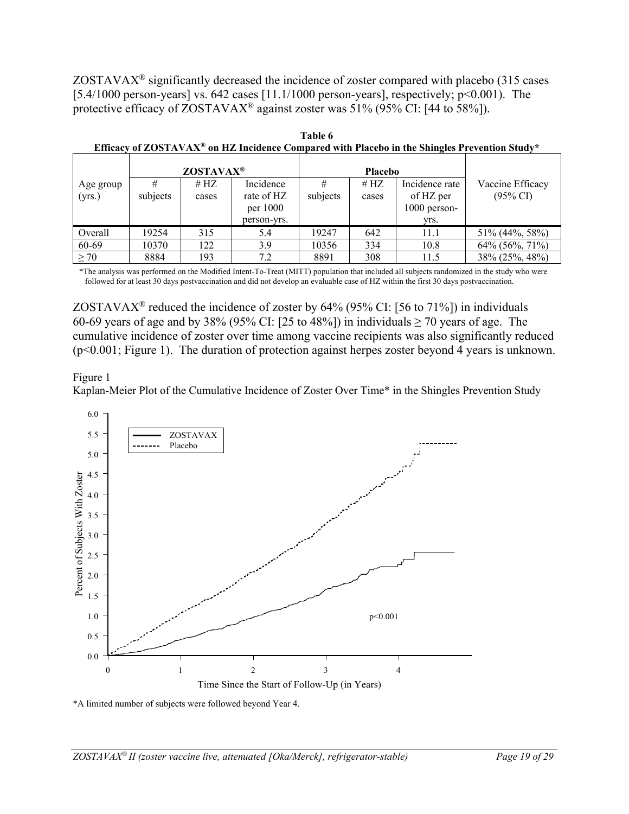$ZOSTAVAX<sup>®</sup>$  significantly decreased the incidence of zoster compared with placebo (315 cases [5.4/1000 person-years] vs. 642 cases [11.1/1000 person-years], respectively; p<0.001). The protective efficacy of  $ZOSTAVAX^{\circledast}$  against zoster was 51% (95% CI: [44 to 58%]).

|                     |               | ZOSTAVAX <sup>®</sup> |                                                    |               | <b>Placebo</b>  |                                                       |                                         |
|---------------------|---------------|-----------------------|----------------------------------------------------|---------------|-----------------|-------------------------------------------------------|-----------------------------------------|
| Age group<br>(yrs.) | #<br>subjects | # $HZ$<br>cases       | Incidence<br>rate of HZ<br>per 1000<br>person-yrs. | #<br>subjects | # $HZ$<br>cases | Incidence rate<br>of HZ per<br>$1000$ person-<br>yrs. | Vaccine Efficacy<br>$(95\% \text{ CI})$ |
| Overall             | 19254         | 315                   | 5.4                                                | 19247         | 642             | 11.1                                                  | 51% (44%, 58%)                          |
| 60-69               | 10370         | 122                   | 3.9                                                | 10356         | 334             | 10.8                                                  | 64% (56%, 71%)                          |
| $\geq 70$           | 8884          | 193                   | 7.2                                                | 8891          | 308             | 11.5                                                  | 38% (25%, 48%)                          |

**Table 6 Efficacy of ZOSTAVAX® on HZ Incidence Compared with Placebo in the Shingles Prevention Study\***

\*The analysis was performed on the Modified Intent-To-Treat (MITT) population that included all subjects randomized in the study who were followed for at least 30 days postvaccination and did not develop an evaluable case of HZ within the first 30 days postvaccination.

ZOSTAVAX<sup>®</sup> reduced the incidence of zoster by  $64\%$  (95% CI: [56 to 71%]) in individuals 60-69 years of age and by 38% (95% CI: [25 to 48%]) in individuals  $\geq$  70 years of age. The cumulative incidence of zoster over time among vaccine recipients was also significantly reduced (p<0.001; Figure 1). The duration of protection against herpes zoster beyond 4 years is unknown.

### Figure 1

Kaplan-Meier Plot of the Cumulative Incidence of Zoster Over Time\* in the Shingles Prevention Study



\*A limited number of subjects were followed beyond Year 4.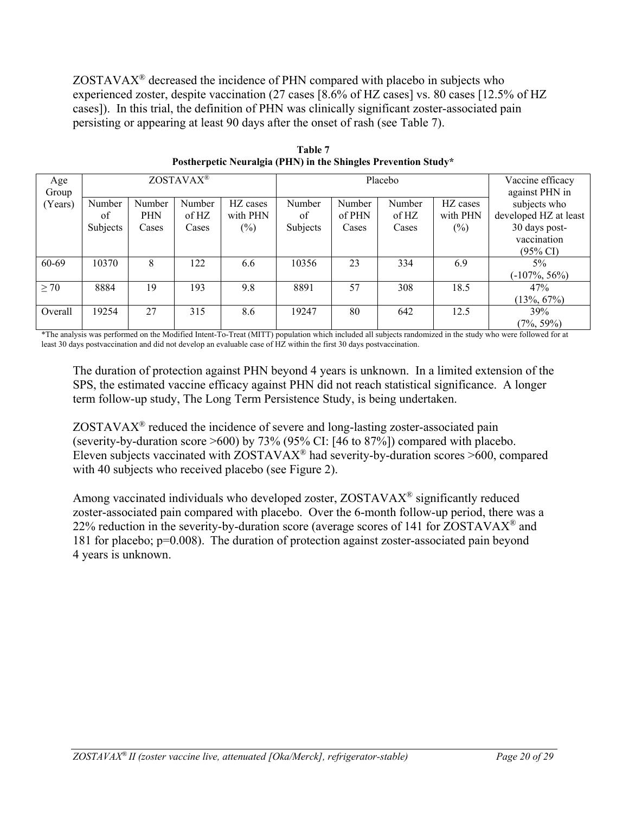$ZOSTAVAX<sup>®</sup>$  decreased the incidence of PHN compared with placebo in subjects who experienced zoster, despite vaccination (27 cases [8.6% of HZ cases] vs. 80 cases [12.5% of HZ cases]). In this trial, the definition of PHN was clinically significant zoster-associated pain persisting or appearing at least 90 days after the onset of rash (see Table 7).

| Age<br>Group | ZOSTAVAX <sup>®</sup> |        |        |          | Placebo  |        |        |          | Vaccine efficacy<br>against PHN in |
|--------------|-----------------------|--------|--------|----------|----------|--------|--------|----------|------------------------------------|
| (Years)      | Number                | Number | Number | HZ cases | Number   | Number | Number | HZ cases | subjects who                       |
|              | of                    | PHN    | of HZ  | with PHN | of       | of PHN | of HZ  | with PHN | developed HZ at least              |
|              | Subjects              | Cases  | Cases  | $(\%)$   | Subjects | Cases  | Cases  | $(\%)$   | 30 days post-                      |
|              |                       |        |        |          |          |        |        |          | vaccination                        |
|              |                       |        |        |          |          |        |        |          | $(95\% \text{ CI})$                |
| 60-69        | 10370                 | 8      | 122    | 6.6      | 10356    | 23     | 334    | 6.9      | 5%                                 |
|              |                       |        |        |          |          |        |        |          | $(-107\%, 56\%)$                   |
| $\geq 70$    | 8884                  | 19     | 193    | 9.8      | 8891     | 57     | 308    | 18.5     | 47%                                |
|              |                       |        |        |          |          |        |        |          | $(13\%, 67\%)$                     |
| Overall      | 19254                 | 27     | 315    | 8.6      | 19247    | 80     | 642    | 12.5     | 39%                                |
|              |                       |        |        |          |          |        |        |          | $(7\%, 59\%)$                      |

**Table 7 Postherpetic Neuralgia (PHN) in the Shingles Prevention Study\***

\*The analysis was performed on the Modified Intent-To-Treat (MITT) population which included all subjects randomized in the study who were followed for at least 30 days postvaccination and did not develop an evaluable case of HZ within the first 30 days postvaccination.

The duration of protection against PHN beyond 4 years is unknown. In a limited extension of the SPS, the estimated vaccine efficacy against PHN did not reach statistical significance. A longer term follow-up study, The Long Term Persistence Study, is being undertaken.

 $ZOSTAVAX<sup>®</sup>$  reduced the incidence of severe and long-lasting zoster-associated pain (severity-by-duration score >600) by 73% (95% CI: [46 to 87%]) compared with placebo. Eleven subjects vaccinated with  $ZOSTAVAX^{\circledast}$  had severity-by-duration scores >600, compared with 40 subjects who received placebo (see Figure 2).

Among vaccinated individuals who developed zoster, ZOSTAVAX® significantly reduced zoster-associated pain compared with placebo. Over the 6-month follow-up period, there was a 22% reduction in the severity-by-duration score (average scores of 141 for ZOSTAVAX<sup>®</sup> and 181 for placebo; p=0.008).The duration of protection against zoster-associated pain beyond 4 years is unknown.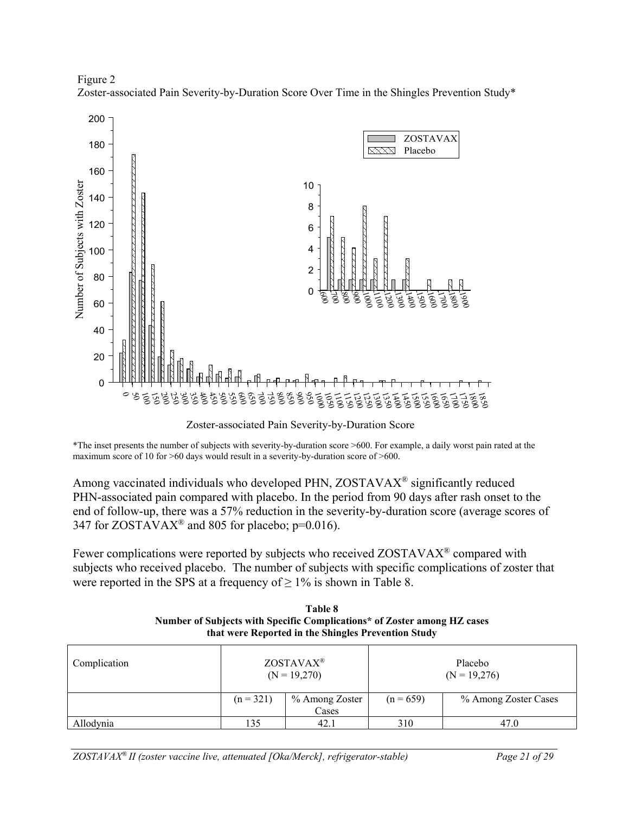



Zoster-associated Pain Severity-by-Duration Score

\*The inset presents the number of subjects with severity-by-duration score >600. For example, a daily worst pain rated at the maximum score of 10 for >60 days would result in a severity-by-duration score of >600.

Among vaccinated individuals who developed PHN, ZOSTAVAX® significantly reduced PHN-associated pain compared with placebo. In the period from 90 days after rash onset to the end of follow-up, there was a 57% reduction in the severity-by-duration score (average scores of 347 for ZOSTAVAX<sup>®</sup> and 805 for placebo;  $p=0.016$ ).

Fewer complications were reported by subjects who received ZOSTAVAX<sup>®</sup> compared with subjects who received placebo. The number of subjects with specific complications of zoster that were reported in the SPS at a frequency of  $\geq 1\%$  is shown in Table 8.

| Complication |                                        | ZOSTAVAX <sup>®</sup><br>$(N = 19,270)$ | Placebo<br>$(N = 19,276)$ |                      |  |
|--------------|----------------------------------------|-----------------------------------------|---------------------------|----------------------|--|
|              | % Among Zoster<br>$(n = 321)$<br>Cases |                                         | $(n = 659)$               | % Among Zoster Cases |  |
| Allodynia    | 135                                    | 42.1                                    | 310                       | 47.0                 |  |

**Table 8 Number of Subjects with Specific Complications\* of Zoster among HZ cases that were Reported in the Shingles Prevention Study**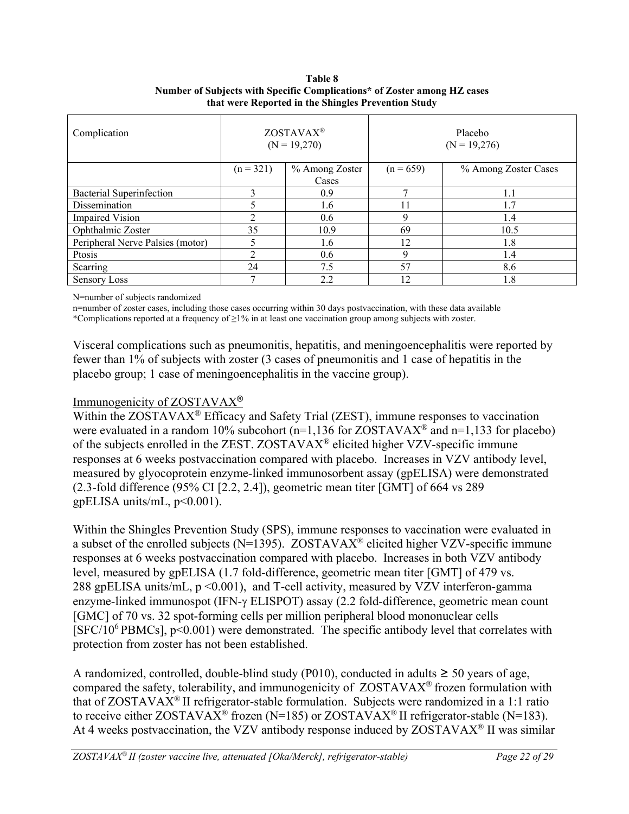### **Table 8 Number of Subjects with Specific Complications\* of Zoster among HZ cases that were Reported in the Shingles Prevention Study**

| Complication                     |             | ZOSTAVAX <sup>®</sup><br>$(N = 19,270)$ | Placebo<br>$(N = 19,276)$ |                      |  |
|----------------------------------|-------------|-----------------------------------------|---------------------------|----------------------|--|
|                                  | $(n = 321)$ | % Among Zoster                          | $(n = 659)$               | % Among Zoster Cases |  |
|                                  |             | Cases                                   |                           |                      |  |
| Bacterial Superinfection         | 3           | 0.9                                     | 7                         | 1.1                  |  |
| Dissemination                    |             | 1.6                                     | 11                        | 1.7                  |  |
| <b>Impaired Vision</b>           | ◠           | 0.6                                     | 9                         | 1.4                  |  |
| Ophthalmic Zoster                | 35          | 10.9                                    | 69                        | 10.5                 |  |
| Peripheral Nerve Palsies (motor) |             | 1.6                                     | 12                        | 1.8                  |  |
| Ptosis                           | ◠           | 0.6                                     | 9                         | 1.4                  |  |
| Scarring                         | 24          | 7.5                                     | 57                        | 8.6                  |  |
| <b>Sensory Loss</b>              |             | 2.2                                     | 12                        | 1.8                  |  |

N=number of subjects randomized

n=number of zoster cases, including those cases occurring within 30 days postvaccination, with these data available

\*Complications reported at a frequency of ≥1% in at least one vaccination group among subjects with zoster.

Visceral complications such as pneumonitis, hepatitis, and meningoencephalitis were reported by fewer than 1% of subjects with zoster (3 cases of pneumonitis and 1 case of hepatitis in the placebo group; 1 case of meningoencephalitis in the vaccine group).

# Immunogenicity of ZOSTAVAX®

Within the ZOSTAVAX<sup>®</sup> Efficacy and Safety Trial (ZEST), immune responses to vaccination were evaluated in a random 10% subcohort ( $n=1.136$  for ZOSTAVAX<sup>®</sup> and  $n=1.133$  for placebo) of the subjects enrolled in the ZEST. ZOSTAVAX® elicited higher VZV-specific immune responses at 6 weeks postvaccination compared with placebo. Increases in VZV antibody level, measured by glyocoprotein enzyme-linked immunosorbent assay (gpELISA) were demonstrated (2.3-fold difference (95% CI [2.2, 2.4]), geometric mean titer [GMT] of 664 vs 289  $gpELISA$  units/mL,  $p<0.001$ ).

Within the Shingles Prevention Study (SPS), immune responses to vaccination were evaluated in a subset of the enrolled subjects (N=1395). ZOSTAVAX<sup>®</sup> elicited higher VZV-specific immune responses at 6 weeks postvaccination compared with placebo. Increases in both VZV antibody level, measured by gpELISA (1.7 fold-difference, geometric mean titer [GMT] of 479 vs. 288 gpELISA units/mL, p <0.001), and T-cell activity, measured by VZV interferon-gamma enzyme-linked immunospot (IFN-γ ELISPOT) assay (2.2 fold-difference, geometric mean count [GMC] of 70 vs. 32 spot-forming cells per million peripheral blood mononuclear cells [SFC/10<sup>6</sup> PBMCs], p<0.001) were demonstrated.The specific antibody level that correlates with protection from zoster has not been established.

A randomized, controlled, double-blind study (P010), conducted in adults  $\geq$  50 years of age, compared the safety, tolerability, and immunogenicity of ZOSTAVAX® frozen formulation with that of  $ZOSTAVAX^{\circledast}$  II refrigerator-stable formulation. Subjects were randomized in a 1:1 ratio to receive either ZOSTAVAX<sup>®</sup> frozen (N=185) or ZOSTAVAX<sup>®</sup> II refrigerator-stable (N=183). At 4 weeks postvaccination, the VZV antibody response induced by  $ZOSTAVAX^{\circ}$  II was similar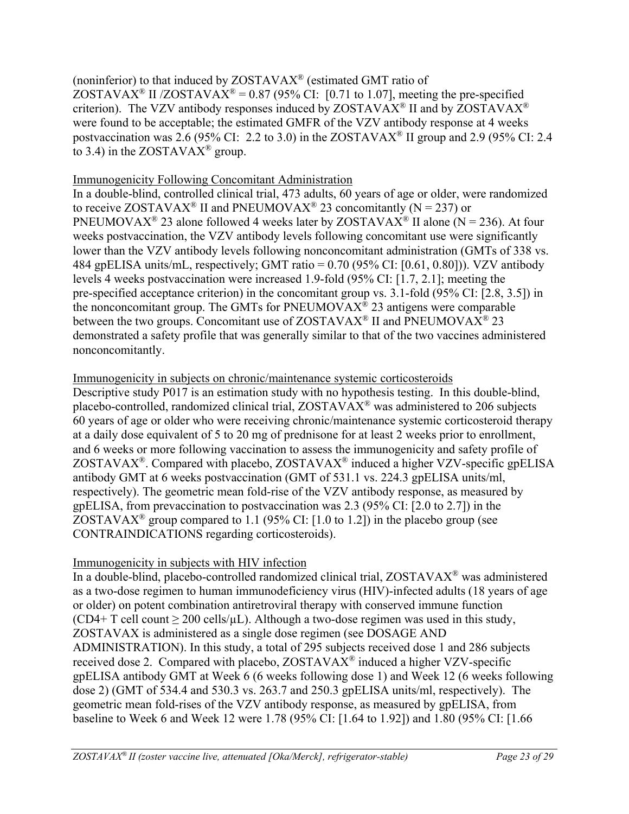(noninferior) to that induced by ZOSTAVAX® (estimated GMT ratio of ZOSTAVAX<sup>®</sup> II /ZOSTAVAX<sup>®</sup> = 0.87 (95% CI: [0.71 to 1.07], meeting the pre-specified criterion). The VZV antibody responses induced by ZOSTAVAX<sup>®</sup> II and by ZOSTAVAX<sup>®</sup> were found to be acceptable; the estimated GMFR of the VZV antibody response at 4 weeks postvaccination was 2.6 (95% CI: 2.2 to 3.0) in the ZOSTAVAX<sup>®</sup> II group and 2.9 (95% CI: 2.4 to 3.4) in the ZOSTAVA $X^{\circledR}$  group.

## Immunogenicity Following Concomitant Administration

In a double-blind, controlled clinical trial, 473 adults, 60 years of age or older, were randomized to receive ZOSTAVAX<sup>®</sup> II and PNEUMOVAX<sup>®</sup> 23 concomitantly (N = 237) or PNEUMOVAX<sup>®</sup> 23 alone followed 4 weeks later by ZOSTAVAX<sup>®</sup> II alone (N = 236). At four weeks postvaccination, the VZV antibody levels following concomitant use were significantly lower than the VZV antibody levels following nonconcomitant administration (GMTs of 338 vs. 484 gpELISA units/mL, respectively; GMT ratio = 0.70 (95% CI: [0.61, 0.80])). VZV antibody levels 4 weeks postvaccination were increased 1.9-fold (95% CI: [1.7, 2.1]; meeting the pre-specified acceptance criterion) in the concomitant group vs. 3.1-fold (95% CI: [2.8, 3.5]) in the nonconcomitant group. The GMTs for PNEUMOVA $X^{\circledR}$  23 antigens were comparable between the two groups. Concomitant use of ZOSTAVAX<sup>®</sup> II and PNEUMOVAX<sup>®</sup> 23 demonstrated a safety profile that was generally similar to that of the two vaccines administered nonconcomitantly.

## Immunogenicity in subjects on chronic/maintenance systemic corticosteroids

Descriptive study P017 is an estimation study with no hypothesis testing. In this double-blind, placebo-controlled, randomized clinical trial, ZOSTAVAX® was administered to 206 subjects 60 years of age or older who were receiving chronic/maintenance systemic corticosteroid therapy at a daily dose equivalent of 5 to 20 mg of prednisone for at least 2 weeks prior to enrollment, and 6 weeks or more following vaccination to assess the immunogenicity and safety profile of ZOSTAVAX<sup>®</sup>. Compared with placebo, ZOSTAVAX<sup>®</sup> induced a higher VZV-specific gpELISA antibody GMT at 6 weeks postvaccination (GMT of 531.1 vs. 224.3 gpELISA units/ml, respectively). The geometric mean fold-rise of the VZV antibody response, as measured by gpELISA, from prevaccination to postvaccination was 2.3 (95% CI: [2.0 to 2.7]) in the ZOSTAVAX<sup>®</sup> group compared to 1.1 (95% CI: [1.0 to 1.2]) in the placebo group (see CONTRAINDICATIONS regarding corticosteroids).

## Immunogenicity in subjects with HIV infection

In a double-blind, placebo-controlled randomized clinical trial, ZOSTAVAX® was administered as a two-dose regimen to human immunodeficiency virus (HIV)-infected adults (18 years of age or older) on potent combination antiretroviral therapy with conserved immune function (CD4+ T cell count  $\geq 200$  cells/ $\mu$ L). Although a two-dose regimen was used in this study, ZOSTAVAX is administered as a single dose regimen (see DOSAGE AND ADMINISTRATION). In this study, a total of 295 subjects received dose 1 and 286 subjects received dose 2. Compared with placebo, ZOSTAVAX® induced a higher VZV-specific gpELISA antibody GMT at Week 6 (6 weeks following dose 1) and Week 12 (6 weeks following dose 2) (GMT of 534.4 and 530.3 vs. 263.7 and 250.3 gpELISA units/ml, respectively). The geometric mean fold-rises of the VZV antibody response, as measured by gpELISA, from baseline to Week 6 and Week 12 were 1.78 (95% CI: [1.64 to 1.92]) and 1.80 (95% CI: [1.66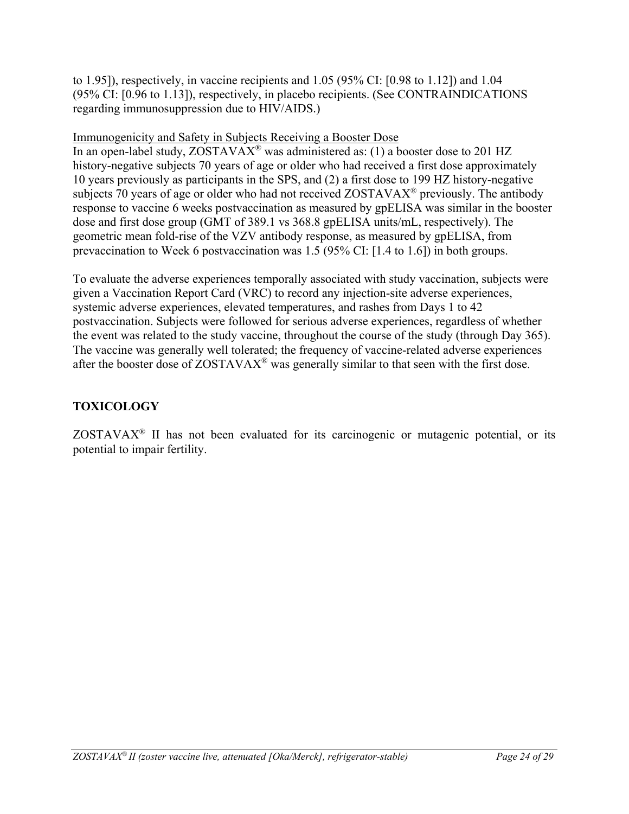to 1.95]), respectively, in vaccine recipients and 1.05 (95% CI: [0.98 to 1.12]) and 1.04 (95% CI: [0.96 to 1.13]), respectively, in placebo recipients. (See CONTRAINDICATIONS regarding immunosuppression due to HIV/AIDS.)

# Immunogenicity and Safety in Subjects Receiving a Booster Dose

In an open-label study, ZOSTAVAX® was administered as: (1) a booster dose to 201 HZ history-negative subjects 70 years of age or older who had received a first dose approximately 10 years previously as participants in the SPS, and (2) a first dose to 199 HZ history-negative subjects 70 years of age or older who had not received ZOSTAVAX® previously. The antibody response to vaccine 6 weeks postvaccination as measured by gpELISA was similar in the booster dose and first dose group (GMT of 389.1 vs 368.8 gpELISA units/mL, respectively). The geometric mean fold-rise of the VZV antibody response, as measured by gpELISA, from prevaccination to Week 6 postvaccination was 1.5 (95% CI: [1.4 to 1.6]) in both groups.

To evaluate the adverse experiences temporally associated with study vaccination, subjects were given a Vaccination Report Card (VRC) to record any injection-site adverse experiences, systemic adverse experiences, elevated temperatures, and rashes from Days 1 to 42 postvaccination. Subjects were followed for serious adverse experiences, regardless of whether the event was related to the study vaccine, throughout the course of the study (through Day 365). The vaccine was generally well tolerated; the frequency of vaccine-related adverse experiences after the booster dose of ZOSTAVAX® was generally similar to that seen with the first dose.

# **TOXICOLOGY**

ZOSTAVAX® II has not been evaluated for its carcinogenic or mutagenic potential, or its potential to impair fertility.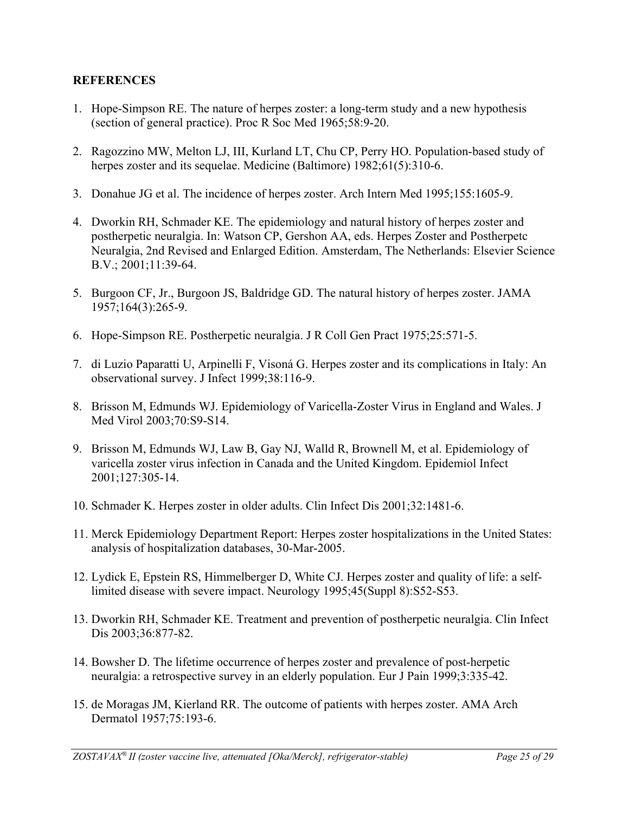## **REFERENCES**

- 1. Hope-Simpson RE. The nature of herpes zoster: a long-term study and a new hypothesis (section of general practice). Proc R Soc Med 1965;58:9-20.
- 2. Ragozzino MW, Melton LJ, III, Kurland LT, Chu CP, Perry HO. Population-based study of herpes zoster and its sequelae. Medicine (Baltimore) 1982;61(5):310-6.
- 3. Donahue JG et al. The incidence of herpes zoster. Arch Intern Med 1995;155:1605-9.
- 4. Dworkin RH, Schmader KE. The epidemiology and natural history of herpes zoster and postherpetic neuralgia. In: Watson CP, Gershon AA, eds. Herpes Zoster and Postherpetc Neuralgia, 2nd Revised and Enlarged Edition. Amsterdam, The Netherlands: Elsevier Science B.V.; 2001;11:39-64.
- 5. Burgoon CF, Jr., Burgoon JS, Baldridge GD. The natural history of herpes zoster. JAMA 1957;164(3):265-9.
- 6. Hope-Simpson RE. Postherpetic neuralgia. J R Coll Gen Pract 1975;25:571-5.
- 7. di Luzio Paparatti U, Arpinelli F, Visoná G. Herpes zoster and its complications in Italy: An observational survey. J Infect 1999;38:116-9.
- 8. Brisson M, Edmunds WJ. Epidemiology of Varicella-Zoster Virus in England and Wales. J Med Virol 2003;70:S9-S14.
- 9. Brisson M, Edmunds WJ, Law B, Gay NJ, Walld R, Brownell M, et al. Epidemiology of varicella zoster virus infection in Canada and the United Kingdom. Epidemiol Infect 2001;127:305-14.
- 10. Schmader K. Herpes zoster in older adults. Clin Infect Dis 2001;32:1481-6.
- 11. Merck Epidemiology Department Report: Herpes zoster hospitalizations in the United States: analysis of hospitalization databases, 30-Mar-2005.
- 12. Lydick E, Epstein RS, Himmelberger D, White CJ. Herpes zoster and quality of life: a selflimited disease with severe impact. Neurology 1995;45(Suppl 8):S52-S53.
- 13. Dworkin RH, Schmader KE. Treatment and prevention of postherpetic neuralgia. Clin Infect Dis 2003;36:877-82.
- 14. Bowsher D. The lifetime occurrence of herpes zoster and prevalence of post-herpetic neuralgia: a retrospective survey in an elderly population. Eur J Pain 1999;3:335-42.
- 15. de Moragas JM, Kierland RR. The outcome of patients with herpes zoster. AMA Arch Dermatol 1957;75:193-6.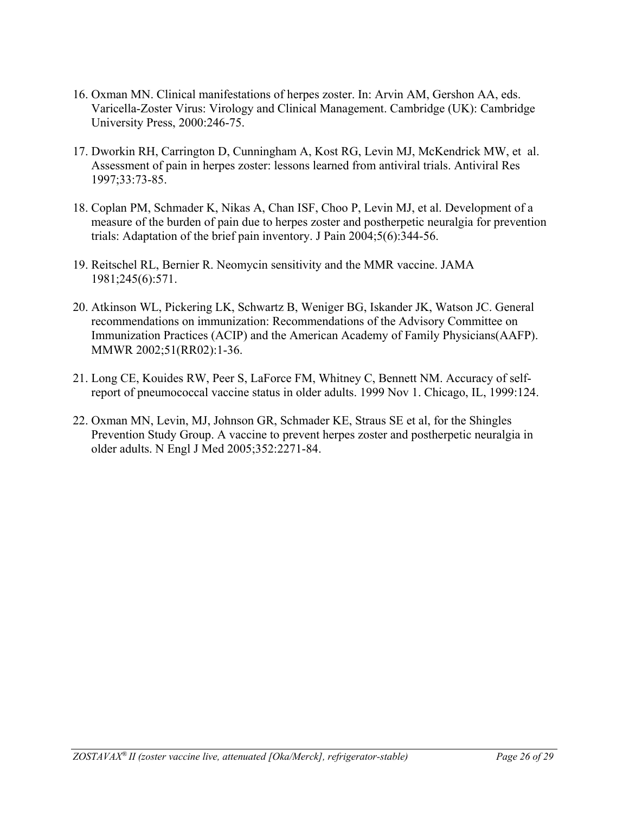- 16. Oxman MN. Clinical manifestations of herpes zoster. In: Arvin AM, Gershon AA, eds. Varicella-Zoster Virus: Virology and Clinical Management. Cambridge (UK): Cambridge University Press, 2000:246-75.
- 17. Dworkin RH, Carrington D, Cunningham A, Kost RG, Levin MJ, McKendrick MW, et al. Assessment of pain in herpes zoster: lessons learned from antiviral trials. Antiviral Res 1997;33:73-85.
- 18. Coplan PM, Schmader K, Nikas A, Chan ISF, Choo P, Levin MJ, et al. Development of a measure of the burden of pain due to herpes zoster and postherpetic neuralgia for prevention trials: Adaptation of the brief pain inventory. J Pain 2004;5(6):344-56.
- 19. Reitschel RL, Bernier R. Neomycin sensitivity and the MMR vaccine. JAMA 1981;245(6):571.
- 20. Atkinson WL, Pickering LK, Schwartz B, Weniger BG, Iskander JK, Watson JC. General recommendations on immunization: Recommendations of the Advisory Committee on Immunization Practices (ACIP) and the American Academy of Family Physicians(AAFP). MMWR 2002;51(RR02):1-36.
- 21. Long CE, Kouides RW, Peer S, LaForce FM, Whitney C, Bennett NM. Accuracy of selfreport of pneumococcal vaccine status in older adults. 1999 Nov 1. Chicago, IL, 1999:124.
- 22. Oxman MN, Levin, MJ, Johnson GR, Schmader KE, Straus SE et al, for the Shingles Prevention Study Group. A vaccine to prevent herpes zoster and postherpetic neuralgia in older adults. N Engl J Med 2005;352:2271-84.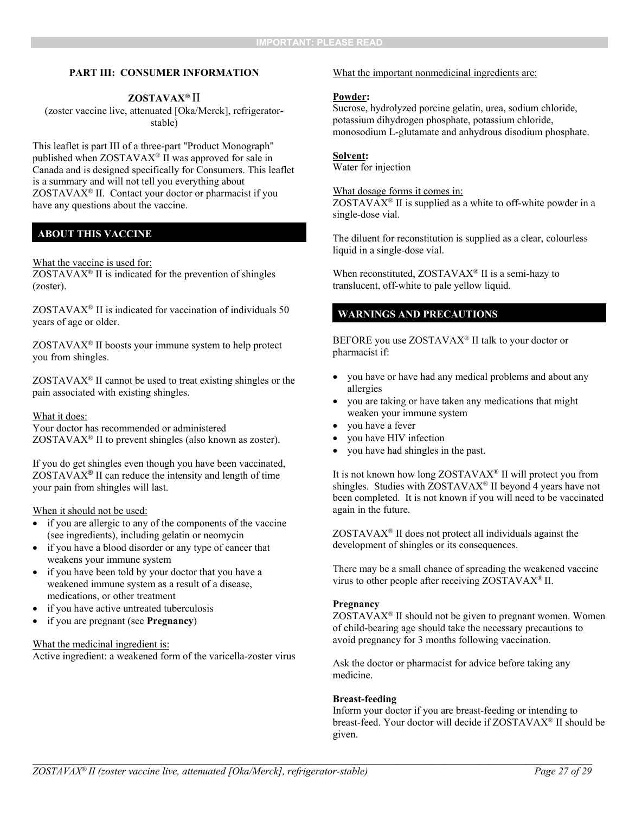#### **PART III: CONSUMER INFORMATION**

### **ZOSTAVAX®** II

(zoster vaccine live, attenuated [Oka/Merck], refrigeratorstable)

This leaflet is part III of a three-part "Product Monograph" published when ZOSTAVAX® II was approved for sale in Canada and is designed specifically for Consumers. This leaflet is a summary and will not tell you everything about ZOSTAVAX® II. Contact your doctor or pharmacist if you have any questions about the vaccine.

### **ABOUT THIS VACCINE**

#### What the vaccine is used for:

 $ZOSTAVAX^{\circledast}$  II is indicated for the prevention of shingles (zoster).

ZOSTAVAX® II is indicated for vaccination of individuals 50 years of age or older.

 $ZOSTAVAX<sup>®</sup>$  II boosts your immune system to help protect you from shingles.

 $ZOSTAVAX<sup>®</sup>$  II cannot be used to treat existing shingles or the pain associated with existing shingles.

#### What it does:

Your doctor has recommended or administered  $ZOSTAVAX^{\circledast}$  II to prevent shingles (also known as zoster).

If you do get shingles even though you have been vaccinated,  $ZOSTAVAX<sup>®</sup>$  II can reduce the intensity and length of time your pain from shingles will last.

#### When it should not be used:

- if you are allergic to any of the components of the vaccine (see ingredients), including gelatin or neomycin
- if you have a blood disorder or any type of cancer that weakens your immune system
- if you have been told by your doctor that you have a weakened immune system as a result of a disease, medications, or other treatment
- if you have active untreated tuberculosis
- if you are pregnant (see **Pregnancy**)

#### What the medicinal ingredient is:

Active ingredient: a weakened form of the varicella-zoster virus

#### What the important nonmedicinal ingredients are:

#### **Powder:**

Sucrose, hydrolyzed porcine gelatin, urea, sodium chloride, potassium dihydrogen phosphate, potassium chloride, monosodium L-glutamate and anhydrous disodium phosphate.

#### **Solvent:**

Water for injection

What dosage forms it comes in:

 $ZOSTAVAX<sup>®</sup>$  II is supplied as a white to off-white powder in a single-dose vial.

The diluent for reconstitution is supplied as a clear, colourless liquid in a single-dose vial.

When reconstituted,  $ZOSTAVAX^{\circledast}$  II is a semi-hazy to translucent, off-white to pale yellow liquid.

## **WARNINGS AND PRECAUTIONS**

BEFORE you use ZOSTAVAX® II talk to your doctor or pharmacist if:

- you have or have had any medical problems and about any allergies
- you are taking or have taken any medications that might weaken your immune system
- you have a fever
- you have HIV infection
- you have had shingles in the past.

It is not known how long ZOSTAVAX® II will protect you from shingles. Studies with  $ZOSTAVAX^{\otimes}$  II beyond 4 years have not been completed. It is not known if you will need to be vaccinated again in the future.

 $ZOSTAVAX<sup>®</sup>$  II does not protect all individuals against the development of shingles or its consequences.

There may be a small chance of spreading the weakened vaccine virus to other people after receiving ZOSTAVAX® II.

#### **Pregnancy**

ZOSTAVAX® II should not be given to pregnant women. Women of child-bearing age should take the necessary precautions to avoid pregnancy for 3 months following vaccination.

Ask the doctor or pharmacist for advice before taking any medicine.

#### **Breast-feeding**

Inform your doctor if you are breast-feeding or intending to breast-feed. Your doctor will decide if ZOSTAVAX® II should be given.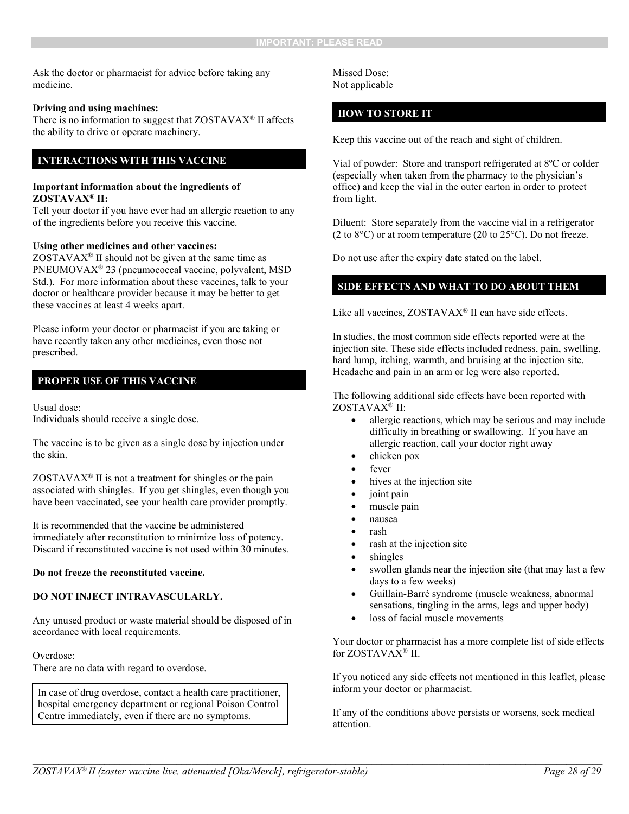Ask the doctor or pharmacist for advice before taking any medicine.

#### **Driving and using machines:**

There is no information to suggest that ZOSTAVAX® II affects the ability to drive or operate machinery.

### **INTERACTIONS WITH THIS VACCINE**

#### **Important information about the ingredients of ZOSTAVAX® II:**

Tell your doctor if you have ever had an allergic reaction to any of the ingredients before you receive this vaccine.

#### **Using other medicines and other vaccines:**

 $ZOSTAVAX<sup>®</sup>$  II should not be given at the same time as PNEUMOVAX® 23 (pneumococcal vaccine, polyvalent, MSD Std.). For more information about these vaccines, talk to your doctor or healthcare provider because it may be better to get these vaccines at least 4 weeks apart.

Please inform your doctor or pharmacist if you are taking or have recently taken any other medicines, even those not prescribed.

### **PROPER USE OF THIS VACCINE**

#### Usual dose:

Individuals should receive a single dose.

The vaccine is to be given as a single dose by injection under the skin.

 $ZOSTAVAX^{\otimes}$  II is not a treatment for shingles or the pain associated with shingles. If you get shingles, even though you have been vaccinated, see your health care provider promptly.

It is recommended that the vaccine be administered immediately after reconstitution to minimize loss of potency. Discard if reconstituted vaccine is not used within 30 minutes.

#### **Do not freeze the reconstituted vaccine.**

### **DO NOT INJECT INTRAVASCULARLY.**

Any unused product or waste material should be disposed of in accordance with local requirements.

#### Overdose:

There are no data with regard to overdose.

In case of drug overdose, contact a health care practitioner, hospital emergency department or regional Poison Control Centre immediately, even if there are no symptoms.

Missed Dose: Not applicable

### **HOW TO STORE IT**

Keep this vaccine out of the reach and sight of children.

Vial of powder: Store and transport refrigerated at 8ºC or colder (especially when taken from the pharmacy to the physician's office) and keep the vial in the outer carton in order to protect from light.

Diluent: Store separately from the vaccine vial in a refrigerator (2 to  $8^{\circ}$ C) or at room temperature (20 to  $25^{\circ}$ C). Do not freeze.

Do not use after the expiry date stated on the label.

### **SIDE EFFECTS AND WHAT TO DO ABOUT THEM**

Like all vaccines,  $ZOSTAVAX^{\otimes}$  II can have side effects.

In studies, the most common side effects reported were at the injection site. These side effects included redness, pain, swelling, hard lump, itching, warmth, and bruising at the injection site. Headache and pain in an arm or leg were also reported.

The following additional side effects have been reported with ZOSTAVAX® II:

- allergic reactions, which may be serious and may include difficulty in breathing or swallowing. If you have an allergic reaction, call your doctor right away
- chicken pox
- fever
- hives at the injection site
- joint pain
- muscle pain
- nausea
- rash
- rash at the injection site
- shingles
- swollen glands near the injection site (that may last a few days to a few weeks)
- Guillain-Barré syndrome (muscle weakness, abnormal sensations, tingling in the arms, legs and upper body)
- loss of facial muscle movements

Your doctor or pharmacist has a more complete list of side effects for ZOSTAVAX® II.

If you noticed any side effects not mentioned in this leaflet, please inform your doctor or pharmacist.

If any of the conditions above persists or worsens, seek medical attention.